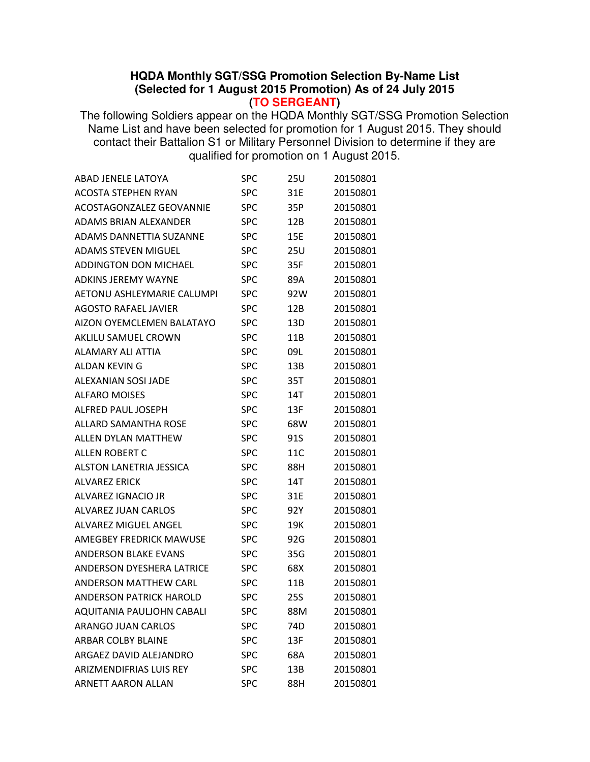## **HQDA Monthly SGT/SSG Promotion Selection By-Name List (Selected for 1 August 2015 Promotion) As of 24 July 2015**

**(TO SERGEANT)**

The following Soldiers appear on the HQDA Monthly SGT/SSG Promotion Selection Name List and have been selected for promotion for 1 August 2015. They should contact their Battalion S1 or Military Personnel Division to determine if they are qualified for promotion on 1 August 2015.

| <b>ABAD JENELE LATOYA</b>         | <b>SPC</b> | 25U        | 20150801 |
|-----------------------------------|------------|------------|----------|
| <b>ACOSTA STEPHEN RYAN</b>        | <b>SPC</b> | 31E        | 20150801 |
| <b>ACOSTAGONZALEZ GEOVANNIE</b>   | <b>SPC</b> | 35P        | 20150801 |
| <b>ADAMS BRIAN ALEXANDER</b>      | <b>SPC</b> | 12B        | 20150801 |
| <b>ADAMS DANNETTIA SUZANNE</b>    | SPC        | 15E        | 20150801 |
| <b>ADAMS STEVEN MIGUEL</b>        | <b>SPC</b> | 25U        | 20150801 |
| <b>ADDINGTON DON MICHAEL</b>      | <b>SPC</b> | 35F        | 20150801 |
| <b>ADKINS JEREMY WAYNE</b>        | <b>SPC</b> | 89A        | 20150801 |
| <b>AETONU ASHLEYMARIE CALUMPI</b> | SPC        | 92W        | 20150801 |
| <b>AGOSTO RAFAEL JAVIER</b>       | <b>SPC</b> | 12B        | 20150801 |
| AIZON OYEMCLEMEN BALATAYO         | <b>SPC</b> | 13D        | 20150801 |
| AKLILU SAMUEL CROWN               | <b>SPC</b> | 11B        | 20150801 |
| <b>ALAMARY ALI ATTIA</b>          | SPC        | 09L        | 20150801 |
| ALDAN KEVIN G                     | <b>SPC</b> | 13B        | 20150801 |
| ALEXANIAN SOSI JADE               | <b>SPC</b> | 35T        | 20150801 |
| <b>ALFARO MOISES</b>              | <b>SPC</b> | 14T        | 20150801 |
| <b>ALFRED PAUL JOSEPH</b>         | SPC        | 13F        | 20150801 |
| <b>ALLARD SAMANTHA ROSE</b>       | <b>SPC</b> | 68W        | 20150801 |
| <b>ALLEN DYLAN MATTHEW</b>        | <b>SPC</b> | 91S        | 20150801 |
| <b>ALLEN ROBERT C</b>             | <b>SPC</b> | 11C        | 20150801 |
| <b>ALSTON LANETRIA JESSICA</b>    | SPC        | 88H        | 20150801 |
| <b>ALVAREZ ERICK</b>              | <b>SPC</b> | 14T        | 20150801 |
| ALVAREZ IGNACIO JR                | <b>SPC</b> | 31E        | 20150801 |
| <b>ALVAREZ JUAN CARLOS</b>        | <b>SPC</b> | 92Y        | 20150801 |
| <b>ALVAREZ MIGUEL ANGEL</b>       | SPC        | 19K        | 20150801 |
| <b>AMEGBEY FREDRICK MAWUSE</b>    | SPC        | 92G        | 20150801 |
| <b>ANDERSON BLAKE EVANS</b>       | <b>SPC</b> | 35G        | 20150801 |
| <b>ANDERSON DYESHERA LATRICE</b>  | SPC        | 68X        | 20150801 |
| <b>ANDERSON MATTHEW CARL</b>      | SPC        | 11B        | 20150801 |
| <b>ANDERSON PATRICK HAROLD</b>    | <b>SPC</b> | <b>25S</b> | 20150801 |
| AQUITANIA PAULJOHN CABALI         | SPC        | 88M        | 20150801 |
| <b>ARANGO JUAN CARLOS</b>         | <b>SPC</b> | 74D        | 20150801 |
| <b>ARBAR COLBY BLAINE</b>         | <b>SPC</b> | 13F        | 20150801 |
| ARGAEZ DAVID ALEJANDRO            | <b>SPC</b> | 68A        | 20150801 |
| <b>ARIZMENDIFRIAS LUIS REY</b>    | <b>SPC</b> | 13B        | 20150801 |
| <b>ARNETT AARON ALLAN</b>         | <b>SPC</b> | 88H        | 20150801 |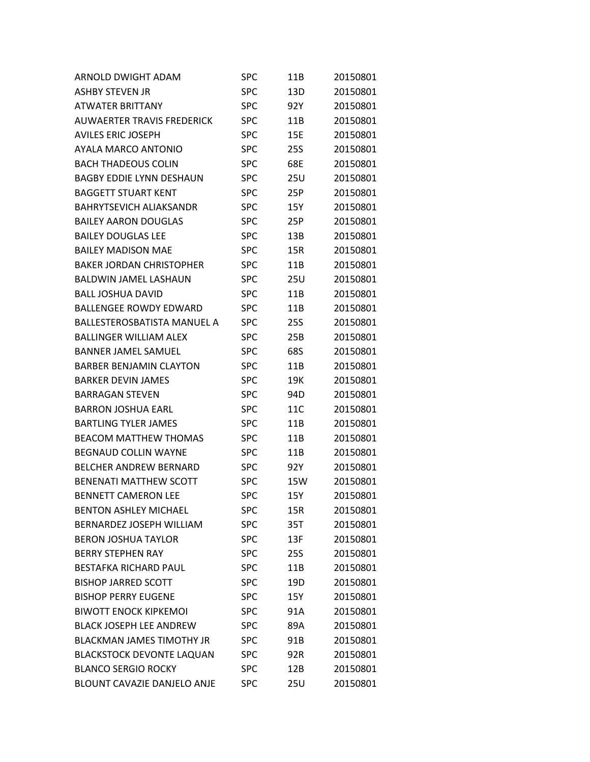| ARNOLD DWIGHT ADAM                 | SPC        | 11B        | 20150801 |
|------------------------------------|------------|------------|----------|
| <b>ASHBY STEVEN JR</b>             | <b>SPC</b> | 13D        | 20150801 |
| <b>ATWATER BRITTANY</b>            | SPC        | 92Y        | 20150801 |
| <b>AUWAERTER TRAVIS FREDERICK</b>  | <b>SPC</b> | 11B        | 20150801 |
| <b>AVILES ERIC JOSEPH</b>          | <b>SPC</b> | 15E        | 20150801 |
| AYALA MARCO ANTONIO                | <b>SPC</b> | <b>25S</b> | 20150801 |
| <b>BACH THADEOUS COLIN</b>         | SPC        | 68E        | 20150801 |
| <b>BAGBY EDDIE LYNN DESHAUN</b>    | SPC        | 25U        | 20150801 |
| <b>BAGGETT STUART KENT</b>         | <b>SPC</b> | 25P        | 20150801 |
| <b>BAHRYTSEVICH ALIAKSANDR</b>     | <b>SPC</b> | 15Y        | 20150801 |
| <b>BAILEY AARON DOUGLAS</b>        | <b>SPC</b> | 25P        | 20150801 |
| <b>BAILEY DOUGLAS LEE</b>          | <b>SPC</b> | 13B        | 20150801 |
| <b>BAILEY MADISON MAE</b>          | <b>SPC</b> | 15R        | 20150801 |
| <b>BAKER JORDAN CHRISTOPHER</b>    | <b>SPC</b> | 11B        | 20150801 |
| <b>BALDWIN JAMEL LASHAUN</b>       | <b>SPC</b> | 25U        | 20150801 |
| <b>BALL JOSHUA DAVID</b>           | <b>SPC</b> | 11B        | 20150801 |
| <b>BALLENGEE ROWDY EDWARD</b>      | <b>SPC</b> | 11B        | 20150801 |
| <b>BALLESTEROSBATISTA MANUEL A</b> | <b>SPC</b> | <b>25S</b> | 20150801 |
| <b>BALLINGER WILLIAM ALEX</b>      | <b>SPC</b> | 25B        | 20150801 |
| <b>BANNER JAMEL SAMUEL</b>         | <b>SPC</b> | 68S        | 20150801 |
| <b>BARBER BENJAMIN CLAYTON</b>     | <b>SPC</b> | 11B        | 20150801 |
| <b>BARKER DEVIN JAMES</b>          | <b>SPC</b> | 19K        | 20150801 |
| <b>BARRAGAN STEVEN</b>             | SPC        | 94D        | 20150801 |
| <b>BARRON JOSHUA EARL</b>          | SPC        | 11C        | 20150801 |
| <b>BARTLING TYLER JAMES</b>        | <b>SPC</b> | 11B        | 20150801 |
| <b>BEACOM MATTHEW THOMAS</b>       | <b>SPC</b> | 11B        | 20150801 |
| <b>BEGNAUD COLLIN WAYNE</b>        | <b>SPC</b> | 11B        | 20150801 |
| <b>BELCHER ANDREW BERNARD</b>      | <b>SPC</b> | 92Y        | 20150801 |
| <b>BENENATI MATTHEW SCOTT</b>      | <b>SPC</b> | 15W        | 20150801 |
| <b>BENNETT CAMERON LEE</b>         | <b>SPC</b> | 15Y        | 20150801 |
| <b>BENTON ASHLEY MICHAEL</b>       | SPC        | 15R        | 20150801 |
| BERNARDEZ JOSEPH WILLIAM           | <b>SPC</b> | 35T        | 20150801 |
| <b>BERON JOSHUA TAYLOR</b>         | <b>SPC</b> | 13F        | 20150801 |
| <b>BERRY STEPHEN RAY</b>           | SPC        | 25S        | 20150801 |
| <b>BESTAFKA RICHARD PAUL</b>       | <b>SPC</b> | 11B        | 20150801 |
| <b>BISHOP JARRED SCOTT</b>         | <b>SPC</b> | 19D        | 20150801 |
| <b>BISHOP PERRY EUGENE</b>         | <b>SPC</b> | 15Y        | 20150801 |
| <b>BIWOTT ENOCK KIPKEMOI</b>       | <b>SPC</b> | 91A        | 20150801 |
| <b>BLACK JOSEPH LFF ANDREW</b>     | <b>SPC</b> | 89A        | 20150801 |
| <b>BLACKMAN JAMES TIMOTHY JR</b>   | <b>SPC</b> | 91B        | 20150801 |
| <b>BLACKSTOCK DEVONTE LAQUAN</b>   | <b>SPC</b> | 92R        | 20150801 |
| <b>BLANCO SERGIO ROCKY</b>         | SPC        | 12B        | 20150801 |
| BLOUNT CAVAZIE DANJELO ANJE        | <b>SPC</b> | 25U        | 20150801 |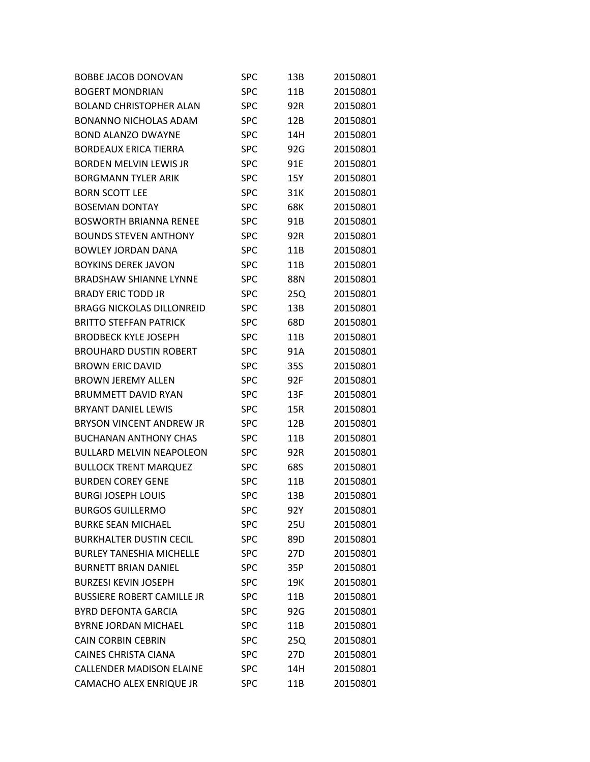| BOBBE JACOB DONOVAN               | SPC        | 13B | 20150801 |
|-----------------------------------|------------|-----|----------|
| <b>BOGERT MONDRIAN</b>            | <b>SPC</b> | 11B | 20150801 |
| <b>BOLAND CHRISTOPHER ALAN</b>    | <b>SPC</b> | 92R | 20150801 |
| <b>BONANNO NICHOLAS ADAM</b>      | <b>SPC</b> | 12B | 20150801 |
| <b>BOND ALANZO DWAYNE</b>         | <b>SPC</b> | 14H | 20150801 |
| <b>BORDEAUX ERICA TIERRA</b>      | <b>SPC</b> | 92G | 20150801 |
| <b>BORDEN MELVIN LEWIS JR</b>     | <b>SPC</b> | 91E | 20150801 |
| <b>BORGMANN TYLER ARIK</b>        | SPC        | 15Y | 20150801 |
| <b>BORN SCOTT LEE</b>             | <b>SPC</b> | 31K | 20150801 |
| <b>BOSEMAN DONTAY</b>             | <b>SPC</b> | 68K | 20150801 |
| <b>BOSWORTH BRIANNA RENEE</b>     | <b>SPC</b> | 91B | 20150801 |
| <b>BOUNDS STEVEN ANTHONY</b>      | <b>SPC</b> | 92R | 20150801 |
| BOWLEY JORDAN DANA                | <b>SPC</b> | 11B | 20150801 |
| <b>BOYKINS DEREK JAVON</b>        | <b>SPC</b> | 11B | 20150801 |
| <b>BRADSHAW SHIANNE LYNNE</b>     | <b>SPC</b> | 88N | 20150801 |
| <b>BRADY ERIC TODD JR</b>         | SPC        | 25Q | 20150801 |
| <b>BRAGG NICKOLAS DILLONREID</b>  | <b>SPC</b> | 13B | 20150801 |
| <b>BRITTO STEFFAN PATRICK</b>     | <b>SPC</b> | 68D | 20150801 |
| <b>BRODBECK KYLE JOSEPH</b>       | SPC        | 11B | 20150801 |
| <b>BROUHARD DUSTIN ROBERT</b>     | <b>SPC</b> | 91A | 20150801 |
| <b>BROWN ERIC DAVID</b>           | <b>SPC</b> | 35S | 20150801 |
| <b>BROWN JEREMY ALLEN</b>         | <b>SPC</b> | 92F | 20150801 |
| <b>BRUMMETT DAVID RYAN</b>        | <b>SPC</b> | 13F | 20150801 |
| <b>BRYANT DANIEL LEWIS</b>        | <b>SPC</b> | 15R | 20150801 |
| <b>BRYSON VINCENT ANDREW JR</b>   | <b>SPC</b> | 12B | 20150801 |
| <b>BUCHANAN ANTHONY CHAS</b>      | <b>SPC</b> | 11B | 20150801 |
| <b>BULLARD MELVIN NEAPOLEON</b>   | <b>SPC</b> | 92R | 20150801 |
| <b>BULLOCK TRENT MARQUEZ</b>      | SPC        | 68S | 20150801 |
| <b>BURDEN COREY GENE</b>          | <b>SPC</b> | 11B | 20150801 |
| <b>BURGI JOSEPH LOUIS</b>         | SPC        | 13B | 20150801 |
| <b>BURGOS GUILLERMO</b>           | SPC        | 92Y | 20150801 |
| <b>BURKE SEAN MICHAEL</b>         | <b>SPC</b> | 25U | 20150801 |
| <b>BURKHALTER DUSTIN CECIL</b>    | <b>SPC</b> | 89D | 20150801 |
| <b>BURLEY TANESHIA MICHELLE</b>   | <b>SPC</b> | 27D | 20150801 |
| <b>BURNETT BRIAN DANIEL</b>       | <b>SPC</b> | 35P | 20150801 |
| <b>BURZESI KEVIN JOSEPH</b>       | <b>SPC</b> | 19K | 20150801 |
| <b>BUSSIERE ROBERT CAMILLE JR</b> | <b>SPC</b> | 11B | 20150801 |
| <b>BYRD DEFONTA GARCIA</b>        | <b>SPC</b> | 92G | 20150801 |
| <b>BYRNE JORDAN MICHAEL</b>       | <b>SPC</b> | 11B | 20150801 |
| <b>CAIN CORBIN CEBRIN</b>         | <b>SPC</b> | 25Q | 20150801 |
| <b>CAINES CHRISTA CIANA</b>       | <b>SPC</b> | 27D | 20150801 |
| <b>CALLENDER MADISON ELAINE</b>   | <b>SPC</b> | 14H | 20150801 |
| CAMACHO ALEX ENRIQUE JR           | <b>SPC</b> | 11B | 20150801 |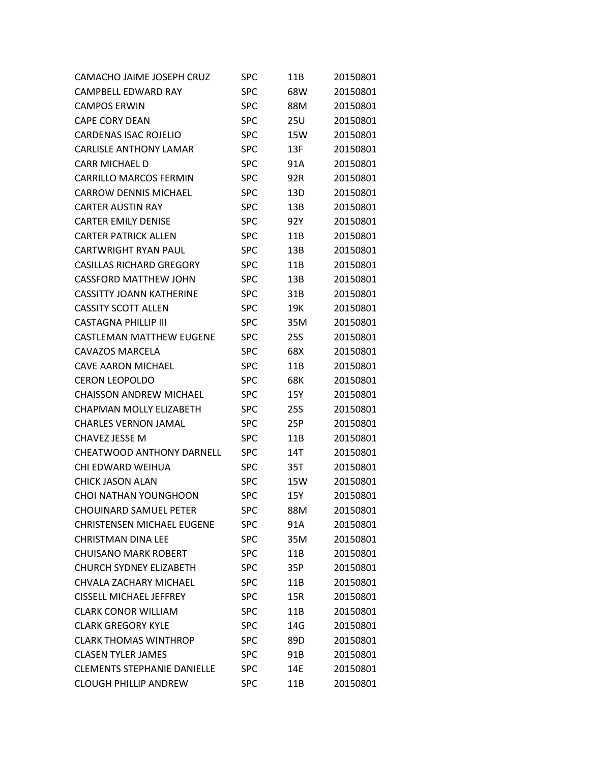| CAMACHO JAIME JOSEPH CRUZ          | SPC        | 11B | 20150801 |
|------------------------------------|------------|-----|----------|
| CAMPBELL EDWARD RAY                | <b>SPC</b> | 68W | 20150801 |
| <b>CAMPOS ERWIN</b>                | <b>SPC</b> | 88M | 20150801 |
| <b>CAPF CORY DFAN</b>              | <b>SPC</b> | 25U | 20150801 |
| <b>CARDENAS ISAC ROJELIO</b>       | <b>SPC</b> | 15W | 20150801 |
| <b>CARLISLE ANTHONY LAMAR</b>      | <b>SPC</b> | 13F | 20150801 |
| <b>CARR MICHAEL D</b>              | <b>SPC</b> | 91A | 20150801 |
| <b>CARRILLO MARCOS FERMIN</b>      | <b>SPC</b> | 92R | 20150801 |
| CARROW DENNIS MICHAEL              | <b>SPC</b> | 13D | 20150801 |
| <b>CARTER AUSTIN RAY</b>           | <b>SPC</b> | 13B | 20150801 |
| <b>CARTER EMILY DENISE</b>         | <b>SPC</b> | 92Y | 20150801 |
| <b>CARTER PATRICK ALLEN</b>        | <b>SPC</b> | 11B | 20150801 |
| CARTWRIGHT RYAN PAUL               | <b>SPC</b> | 13B | 20150801 |
| <b>CASILLAS RICHARD GREGORY</b>    | <b>SPC</b> | 11B | 20150801 |
| <b>CASSFORD MATTHEW JOHN</b>       | <b>SPC</b> | 13B | 20150801 |
| CASSITTY JOANN KATHERINE           | <b>SPC</b> | 31B | 20150801 |
| <b>CASSITY SCOTT ALLEN</b>         | <b>SPC</b> | 19K | 20150801 |
| <b>CASTAGNA PHILLIP III</b>        | <b>SPC</b> | 35M | 20150801 |
| CASTLFMAN MATTHFW FUGFNF           | <b>SPC</b> | 25S | 20150801 |
| <b>CAVAZOS MARCELA</b>             | <b>SPC</b> | 68X | 20150801 |
| CAVE AARON MICHAEL                 | <b>SPC</b> | 11B | 20150801 |
| <b>CERON LEOPOLDO</b>              | <b>SPC</b> | 68K | 20150801 |
| <b>CHAISSON ANDREW MICHAEL</b>     | <b>SPC</b> | 15Y | 20150801 |
| <b>CHAPMAN MOLLY ELIZABETH</b>     | <b>SPC</b> | 25S | 20150801 |
| <b>CHARLES VERNON JAMAL</b>        | <b>SPC</b> | 25P | 20150801 |
| <b>CHAVEZ JESSE M</b>              | <b>SPC</b> | 11B | 20150801 |
| CHEATWOOD ANTHONY DARNELL          | <b>SPC</b> | 14T | 20150801 |
| CHI EDWARD WEIHUA                  | <b>SPC</b> | 35T | 20150801 |
| CHICK JASON ALAN                   | <b>SPC</b> | 15W | 20150801 |
| <b>CHOI NATHAN YOUNGHOON</b>       | <b>SPC</b> | 15Y | 20150801 |
| <b>CHOUINARD SAMUEL PETER</b>      | <b>SPC</b> | 88M | 20150801 |
| <b>CHRISTENSEN MICHAEL EUGENE</b>  | <b>SPC</b> | 91A | 20150801 |
| <b>CHRISTMAN DINA LEE</b>          | <b>SPC</b> | 35M | 20150801 |
| <b>CHUISANO MARK ROBERT</b>        | <b>SPC</b> | 11B | 20150801 |
| <b>CHURCH SYDNEY ELIZABETH</b>     | <b>SPC</b> | 35P | 20150801 |
| CHVALA ZACHARY MICHAEL             | <b>SPC</b> | 11B | 20150801 |
| <b>CISSELL MICHAEL JEFFREY</b>     | <b>SPC</b> | 15R | 20150801 |
| <b>CLARK CONOR WILLIAM</b>         | <b>SPC</b> | 11B | 20150801 |
| <b>CLARK GREGORY KYLE</b>          | <b>SPC</b> | 14G | 20150801 |
| <b>CLARK THOMAS WINTHROP</b>       | <b>SPC</b> | 89D | 20150801 |
| <b>CLASEN TYLER JAMES</b>          | <b>SPC</b> | 91B | 20150801 |
| <b>CLEMENTS STEPHANIE DANIELLE</b> | <b>SPC</b> | 14E | 20150801 |
| <b>CLOUGH PHILLIP ANDREW</b>       | <b>SPC</b> | 11B | 20150801 |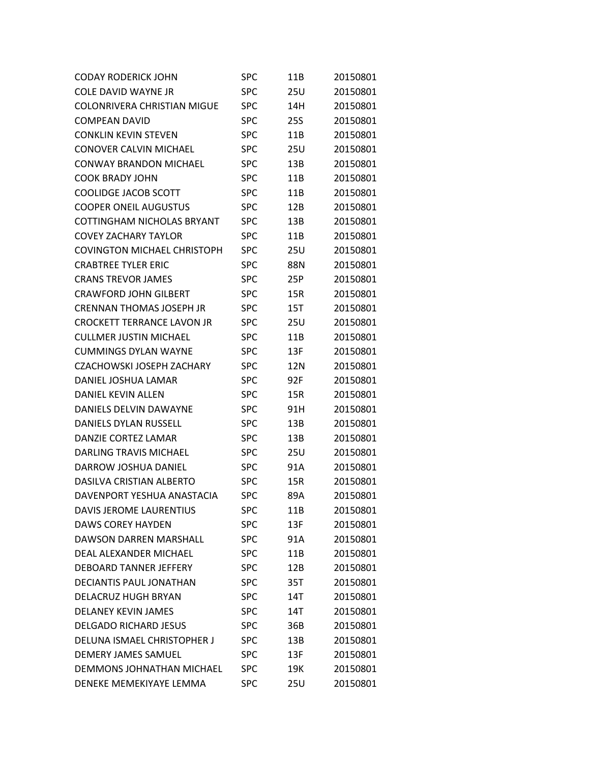| <b>CODAY RODERICK JOHN</b>         | <b>SPC</b> | 11B | 20150801 |
|------------------------------------|------------|-----|----------|
| <b>COLE DAVID WAYNE JR</b>         | <b>SPC</b> | 25U | 20150801 |
| <b>COLONRIVERA CHRISTIAN MIGUE</b> | <b>SPC</b> | 14H | 20150801 |
| <b>COMPEAN DAVID</b>               | <b>SPC</b> | 25S | 20150801 |
| <b>CONKLIN KEVIN STEVEN</b>        | <b>SPC</b> | 11B | 20150801 |
| CONOVER CALVIN MICHAEL             | <b>SPC</b> | 25U | 20150801 |
| <b>CONWAY BRANDON MICHAEL</b>      | <b>SPC</b> | 13B | 20150801 |
| <b>COOK BRADY JOHN</b>             | <b>SPC</b> | 11B | 20150801 |
| <b>COOLIDGE JACOB SCOTT</b>        | <b>SPC</b> | 11B | 20150801 |
| <b>COOPER ONEIL AUGUSTUS</b>       | <b>SPC</b> | 12B | 20150801 |
| COTTINGHAM NICHOLAS BRYANT         | <b>SPC</b> | 13B | 20150801 |
| <b>COVEY ZACHARY TAYLOR</b>        | <b>SPC</b> | 11B | 20150801 |
| COVINGTON MICHAEL CHRISTOPH        | <b>SPC</b> | 25U | 20150801 |
| <b>CRABTREE TYLER ERIC</b>         | <b>SPC</b> | 88N | 20150801 |
| <b>CRANS TREVOR JAMES</b>          | <b>SPC</b> | 25P | 20150801 |
| <b>CRAWFORD JOHN GILBERT</b>       | <b>SPC</b> | 15R | 20150801 |
| <b>CRENNAN THOMAS JOSEPH JR</b>    | <b>SPC</b> | 15T | 20150801 |
| <b>CROCKETT TERRANCE LAVON JR</b>  | <b>SPC</b> | 25U | 20150801 |
| <b>CULLMER JUSTIN MICHAEL</b>      | <b>SPC</b> | 11B | 20150801 |
| <b>CUMMINGS DYLAN WAYNE</b>        | <b>SPC</b> | 13F | 20150801 |
| CZACHOWSKI JOSEPH ZACHARY          | <b>SPC</b> | 12N | 20150801 |
| DANIEL JOSHUA LAMAR                | <b>SPC</b> | 92F | 20150801 |
| <b>DANIEL KEVIN ALLEN</b>          | <b>SPC</b> | 15R | 20150801 |
| DANIELS DELVIN DAWAYNE             | <b>SPC</b> | 91H | 20150801 |
| DANIELS DYLAN RUSSELL              | <b>SPC</b> | 13B | 20150801 |
| DANZIE CORTEZ LAMAR                | <b>SPC</b> | 13B | 20150801 |
| DARLING TRAVIS MICHAFL             | <b>SPC</b> | 25U | 20150801 |
| <b>DARROW JOSHUA DANIEL</b>        | <b>SPC</b> | 91A | 20150801 |
| DASILVA CRISTIAN ALBERTO           | <b>SPC</b> | 15R | 20150801 |
| DAVENPORT YESHUA ANASTACIA         | <b>SPC</b> | 89A | 20150801 |
| <b>DAVIS JEROME LAURENTIUS</b>     | <b>SPC</b> | 11B | 20150801 |
| <b>DAWS COREY HAYDEN</b>           | <b>SPC</b> | 13F | 20150801 |
| <b>DAWSON DARREN MARSHALL</b>      | <b>SPC</b> | 91A | 20150801 |
| DEAL ALEXANDER MICHAEL             | <b>SPC</b> | 11B | 20150801 |
| DEBOARD TANNER JEFFERY             | <b>SPC</b> | 12B | 20150801 |
| <b>DECIANTIS PAUL JONATHAN</b>     | <b>SPC</b> | 35T | 20150801 |
| <b>DELACRUZ HUGH BRYAN</b>         | <b>SPC</b> | 14T | 20150801 |
| <b>DELANEY KEVIN JAMES</b>         | <b>SPC</b> | 14T | 20150801 |
| <b>DELGADO RICHARD JESUS</b>       | <b>SPC</b> | 36B | 20150801 |
| DELUNA ISMAEL CHRISTOPHER J        | <b>SPC</b> | 13B | 20150801 |
| DEMERY JAMES SAMUEL                | <b>SPC</b> | 13F | 20150801 |
| DEMMONS JOHNATHAN MICHAEL          | <b>SPC</b> | 19K | 20150801 |
| DENEKE MEMEKIYAYE LEMMA            | <b>SPC</b> | 25U | 20150801 |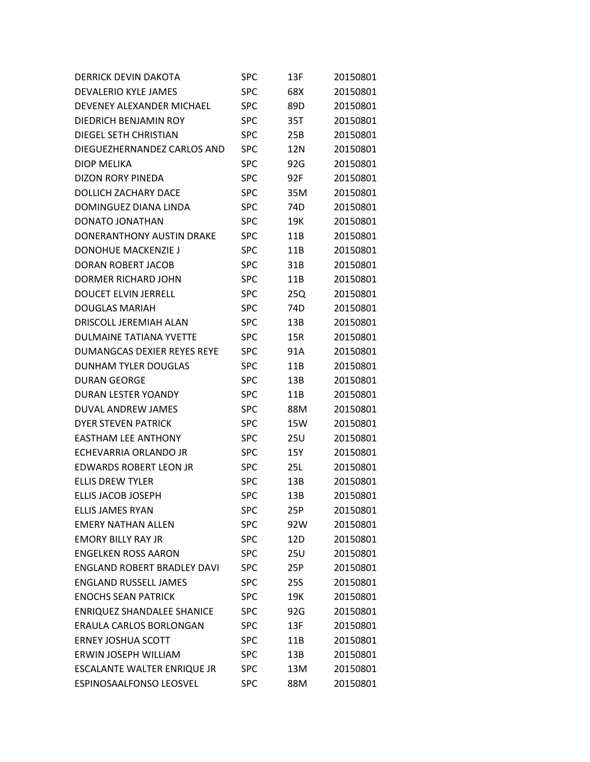| <b>DERRICK DEVIN DAKOTA</b>        | SPC        | 13F | 20150801 |
|------------------------------------|------------|-----|----------|
| <b>DEVALERIO KYLE JAMES</b>        | <b>SPC</b> | 68X | 20150801 |
| DEVENEY ALEXANDER MICHAEL          | <b>SPC</b> | 89D | 20150801 |
| <b>DIEDRICH BENJAMIN ROY</b>       | <b>SPC</b> | 35T | 20150801 |
| DIEGEL SETH CHRISTIAN              | <b>SPC</b> | 25B | 20150801 |
| DIEGUEZHERNANDEZ CARLOS AND        | <b>SPC</b> | 12N | 20150801 |
| <b>DIOP MELIKA</b>                 | <b>SPC</b> | 92G | 20150801 |
| <b>DIZON RORY PINEDA</b>           | <b>SPC</b> | 92F | 20150801 |
| DOLLICH ZACHARY DACE               | <b>SPC</b> | 35M | 20150801 |
| DOMINGUEZ DIANA LINDA              | <b>SPC</b> | 74D | 20150801 |
| <b>DONATO JONATHAN</b>             | <b>SPC</b> | 19K | 20150801 |
| DONERANTHONY AUSTIN DRAKE          | <b>SPC</b> | 11B | 20150801 |
| DONOHUE MACKENZIE J                | <b>SPC</b> | 11B | 20150801 |
| <b>DORAN ROBERT JACOB</b>          | <b>SPC</b> | 31B | 20150801 |
| DORMER RICHARD JOHN                | <b>SPC</b> | 11B | 20150801 |
| <b>DOUCET ELVIN JERRELL</b>        | <b>SPC</b> | 25Q | 20150801 |
| <b>DOUGLAS MARIAH</b>              | <b>SPC</b> | 74D | 20150801 |
| <b>DRISCOLL JEREMIAH ALAN</b>      | <b>SPC</b> | 13B | 20150801 |
| <b>DULMAINE TATIANA YVETTE</b>     | <b>SPC</b> | 15R | 20150801 |
| DUMANGCAS DEXIER REYES REYE        | <b>SPC</b> | 91A | 20150801 |
| <b>DUNHAM TYLER DOUGLAS</b>        | <b>SPC</b> | 11B | 20150801 |
| <b>DURAN GEORGE</b>                | <b>SPC</b> | 13B | 20150801 |
| DURAN LESTER YOANDY                | <b>SPC</b> | 11B | 20150801 |
| DUVAL ANDREW JAMES                 | <b>SPC</b> | 88M | 20150801 |
| <b>DYER STEVEN PATRICK</b>         | <b>SPC</b> | 15W | 20150801 |
| <b>EASTHAM LEE ANTHONY</b>         | <b>SPC</b> | 25U | 20150801 |
| ECHEVARRIA ORLANDO JR              | <b>SPC</b> | 15Y | 20150801 |
| <b>EDWARDS ROBERT LEON JR</b>      | <b>SPC</b> | 25L | 20150801 |
| <b>ELLIS DREW TYLER</b>            | <b>SPC</b> | 13B | 20150801 |
| <b>ELLIS JACOB JOSEPH</b>          | <b>SPC</b> | 13B | 20150801 |
| <b>ELLIS JAMES RYAN</b>            | <b>SPC</b> | 25P | 20150801 |
| <b>EMERY NATHAN ALLEN</b>          | <b>SPC</b> | 92W | 20150801 |
| <b>EMORY BILLY RAY JR</b>          | <b>SPC</b> | 12D | 20150801 |
| <b>ENGELKEN ROSS AARON</b>         | <b>SPC</b> | 25U | 20150801 |
| <b>ENGLAND ROBERT BRADLEY DAVI</b> | <b>SPC</b> | 25P | 20150801 |
| <b>ENGLAND RUSSELL JAMES</b>       | <b>SPC</b> | 25S | 20150801 |
| <b>ENOCHS SEAN PATRICK</b>         | <b>SPC</b> | 19K | 20150801 |
| <b>ENRIQUEZ SHANDALEE SHANICE</b>  | <b>SPC</b> | 92G | 20150801 |
| <b>ERAULA CARLOS BORLONGAN</b>     | <b>SPC</b> | 13F | 20150801 |
| <b>ERNEY JOSHUA SCOTT</b>          | <b>SPC</b> | 11B | 20150801 |
| ERWIN JOSEPH WILLIAM               | <b>SPC</b> | 13B | 20150801 |
| ESCALANTE WALTER ENRIQUE JR        | <b>SPC</b> | 13M | 20150801 |
| ESPINOSAALFONSO LEOSVEL            | <b>SPC</b> | 88M | 20150801 |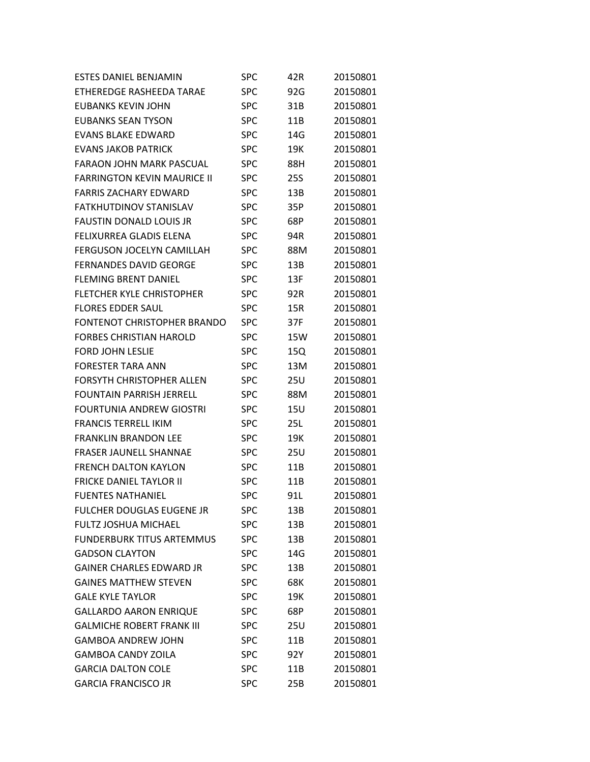| <b>ESTES DANIEL BENJAMIN</b>       | SPC        | 42R        | 20150801 |
|------------------------------------|------------|------------|----------|
| ETHEREDGE RASHEEDA TARAE           | SPC        | 92G        | 20150801 |
| <b>EUBANKS KEVIN JOHN</b>          | <b>SPC</b> | 31B        | 20150801 |
| <b>EUBANKS SEAN TYSON</b>          | <b>SPC</b> | 11B        | 20150801 |
| <b>EVANS BLAKE EDWARD</b>          | <b>SPC</b> | 14G        | 20150801 |
| <b>EVANS JAKOB PATRICK</b>         | <b>SPC</b> | 19K        | 20150801 |
| <b>FARAON JOHN MARK PASCUAL</b>    | <b>SPC</b> | 88H        | 20150801 |
| <b>FARRINGTON KEVIN MAURICE II</b> | <b>SPC</b> | 25S        | 20150801 |
| <b>FARRIS ZACHARY EDWARD</b>       | <b>SPC</b> | 13B        | 20150801 |
| <b>FATKHUTDINOV STANISLAV</b>      | <b>SPC</b> | 35P        | 20150801 |
| <b>FAUSTIN DONALD LOUIS JR</b>     | <b>SPC</b> | 68P        | 20150801 |
| FELIXURREA GLADIS ELENA            | <b>SPC</b> | 94R        | 20150801 |
| <b>FERGUSON JOCELYN CAMILLAH</b>   | <b>SPC</b> | 88M        | 20150801 |
| <b>FERNANDES DAVID GEORGE</b>      | <b>SPC</b> | 13B        | 20150801 |
| <b>FLFMING BRENT DANIFL</b>        | <b>SPC</b> | 13F        | 20150801 |
| <b>FLETCHER KYLE CHRISTOPHER</b>   | <b>SPC</b> | 92R        | 20150801 |
| <b>FLORES EDDER SAUL</b>           | <b>SPC</b> | 15R        | 20150801 |
| <b>FONTENOT CHRISTOPHER BRANDO</b> | <b>SPC</b> | 37F        | 20150801 |
| <b>FORBES CHRISTIAN HAROLD</b>     | <b>SPC</b> | 15W        | 20150801 |
| <b>FORD JOHN LESLIE</b>            | <b>SPC</b> | 15Q        | 20150801 |
| <b>FORESTER TARA ANN</b>           | <b>SPC</b> | 13M        | 20150801 |
| <b>FORSYTH CHRISTOPHER ALLEN</b>   | <b>SPC</b> | 25U        | 20150801 |
| <b>FOUNTAIN PARRISH JERRELL</b>    | <b>SPC</b> | 88M        | 20150801 |
| <b>FOURTUNIA ANDREW GIOSTRI</b>    | <b>SPC</b> | 15U        | 20150801 |
| <b>FRANCIS TERRELL IKIM</b>        | <b>SPC</b> | 25L        | 20150801 |
| <b>FRANKLIN BRANDON LEE</b>        | <b>SPC</b> | 19K        | 20150801 |
| <b>FRASFR JAUNFLL SHANNAF</b>      | SPC        | <b>25U</b> | 20150801 |
| <b>FRENCH DALTON KAYLON</b>        | SPC        | 11B        | 20150801 |
| <b>FRICKE DANIEL TAYLOR II</b>     | <b>SPC</b> | 11B        | 20150801 |
| <b>FUENTES NATHANIEL</b>           | <b>SPC</b> | 91L        | 20150801 |
| FULCHER DOUGLAS EUGENE JR          | SPC        | 13B        | 20150801 |
| <b>FULTZ JOSHUA MICHAEL</b>        | <b>SPC</b> | 13B        | 20150801 |
| <b>FUNDERBURK TITUS ARTEMMUS</b>   | <b>SPC</b> | 13B        | 20150801 |
| <b>GADSON CLAYTON</b>              | <b>SPC</b> | 14G        | 20150801 |
| <b>GAINER CHARLES EDWARD JR</b>    | <b>SPC</b> | 13B        | 20150801 |
| <b>GAINES MATTHEW STEVEN</b>       | <b>SPC</b> | 68K        | 20150801 |
| <b>GALE KYLE TAYLOR</b>            | <b>SPC</b> | 19K        | 20150801 |
| <b>GALLARDO AARON ENRIQUE</b>      | <b>SPC</b> | 68P        | 20150801 |
| <b>GALMICHE ROBERT FRANK III</b>   | <b>SPC</b> | 25U        | 20150801 |
| <b>GAMBOA ANDREW JOHN</b>          | <b>SPC</b> | 11B        | 20150801 |
| <b>GAMBOA CANDY ZOILA</b>          | <b>SPC</b> | 92Y        | 20150801 |
| <b>GARCIA DALTON COLE</b>          | <b>SPC</b> | 11B        | 20150801 |
| <b>GARCIA FRANCISCO JR</b>         | <b>SPC</b> | 25B        | 20150801 |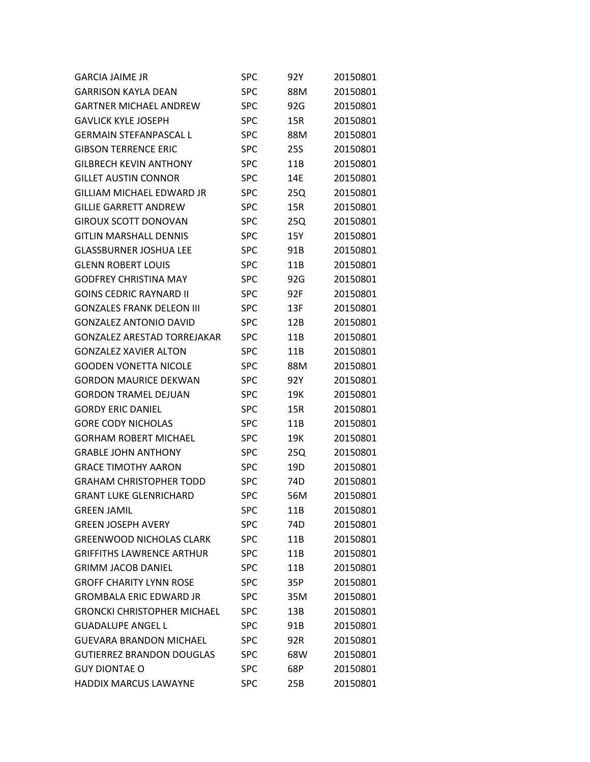| <b>GARCIA JAIME JR</b>             | SPC        | 92Y        | 20150801 |
|------------------------------------|------------|------------|----------|
| <b>GARRISON KAYLA DEAN</b>         | <b>SPC</b> | 88M        | 20150801 |
| <b>GARTNER MICHAEL ANDREW</b>      | <b>SPC</b> | 92G        | 20150801 |
| <b>GAVLICK KYLE JOSEPH</b>         | <b>SPC</b> | 15R        | 20150801 |
| <b>GERMAIN STEFANPASCAL L</b>      | <b>SPC</b> | 88M        | 20150801 |
| <b>GIBSON TERRENCE ERIC</b>        | <b>SPC</b> | <b>25S</b> | 20150801 |
| <b>GILBRECH KEVIN ANTHONY</b>      | <b>SPC</b> | 11B        | 20150801 |
| <b>GILLET AUSTIN CONNOR</b>        | SPC        | 14E        | 20150801 |
| GILLIAM MICHAFL FDWARD IR          | <b>SPC</b> | 25Q        | 20150801 |
| <b>GILLIE GARRETT ANDREW</b>       | <b>SPC</b> | 15R        | 20150801 |
| <b>GIROUX SCOTT DONOVAN</b>        | <b>SPC</b> | 25Q        | 20150801 |
| <b>GITLIN MARSHALL DENNIS</b>      | <b>SPC</b> | 15Y        | 20150801 |
| GLASSBURNER JOSHUA LEE             | <b>SPC</b> | 91B        | 20150801 |
| <b>GLENN ROBERT LOUIS</b>          | <b>SPC</b> | 11B        | 20150801 |
| <b>GODFREY CHRISTINA MAY</b>       | <b>SPC</b> | 92G        | 20150801 |
| <b>GOINS CEDRIC RAYNARD II</b>     | <b>SPC</b> | 92F        | 20150801 |
| <b>GONZALFS FRANK DFLFON III</b>   | <b>SPC</b> | 13F        | 20150801 |
| <b>GONZALEZ ANTONIO DAVID</b>      | <b>SPC</b> | 12B        | 20150801 |
| <b>GONZALEZ ARESTAD TORREJAKAR</b> | <b>SPC</b> | 11B        | 20150801 |
| <b>GONZALEZ XAVIER ALTON</b>       | <b>SPC</b> | 11B        | 20150801 |
| GOODEN VONETTA NICOLE              | <b>SPC</b> | 88M        | 20150801 |
| <b>GORDON MAURICE DEKWAN</b>       | <b>SPC</b> | 92Y        | 20150801 |
| <b>GORDON TRAMEL DEJUAN</b>        | <b>SPC</b> | 19K        | 20150801 |
| <b>GORDY ERIC DANIEL</b>           | SPC        | 15R        | 20150801 |
| <b>GORE CODY NICHOLAS</b>          | <b>SPC</b> | 11B        | 20150801 |
| <b>GORHAM ROBERT MICHAEL</b>       | <b>SPC</b> | 19K        | 20150801 |
| <b>GRABLE JOHN ANTHONY</b>         | <b>SPC</b> | 25Q        | 20150801 |
| <b>GRACE TIMOTHY AARON</b>         | SPC        | 19D        | 20150801 |
| <b>GRAHAM CHRISTOPHER TODD</b>     | <b>SPC</b> | 74D        | 20150801 |
| <b>GRANT LUKE GLENRICHARD</b>      | SPC        | 56M        | 20150801 |
| <b>GREEN JAMIL</b>                 | SPC        | 11B        | 20150801 |
| <b>GREEN JOSEPH AVERY</b>          | <b>SPC</b> | 74D        | 20150801 |
| <b>GREENWOOD NICHOLAS CLARK</b>    | <b>SPC</b> | 11B        | 20150801 |
| <b>GRIFFITHS LAWRENCE ARTHUR</b>   | <b>SPC</b> | 11B        | 20150801 |
| <b>GRIMM JACOB DANIEL</b>          | <b>SPC</b> | 11B        | 20150801 |
| <b>GROFF CHARITY LYNN ROSE</b>     | <b>SPC</b> | 35P        | 20150801 |
| <b>GROMBALA ERIC EDWARD JR</b>     | <b>SPC</b> | 35M        | 20150801 |
| <b>GRONCKI CHRISTOPHER MICHAEL</b> | SPC        | 13B        | 20150801 |
| <b>GUADALUPE ANGEL L</b>           | <b>SPC</b> | 91B        | 20150801 |
| <b>GUEVARA BRANDON MICHAEL</b>     | <b>SPC</b> | 92R        | 20150801 |
| <b>GUTIERREZ BRANDON DOUGLAS</b>   | <b>SPC</b> | 68W        | 20150801 |
| <b>GUY DIONTAE O</b>               | <b>SPC</b> | 68P        | 20150801 |
| <b>HADDIX MARCUS LAWAYNE</b>       | <b>SPC</b> | 25B        | 20150801 |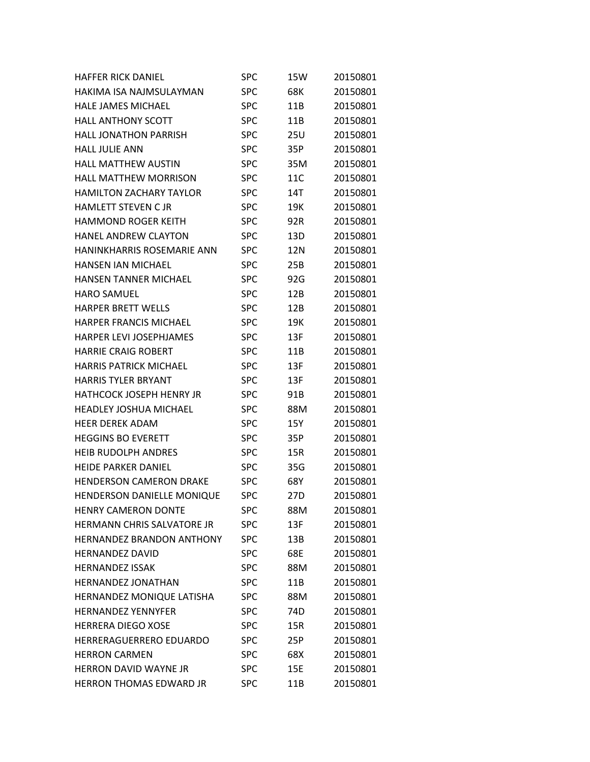| <b>HAFFER RICK DANIEL</b>         | SPC        | 15W             | 20150801 |
|-----------------------------------|------------|-----------------|----------|
| HAKIMA ISA NAJMSULAYMAN           | <b>SPC</b> | 68K             | 20150801 |
| <b>HALE JAMES MICHAEL</b>         | <b>SPC</b> | 11B             | 20150801 |
| <b>HALL ANTHONY SCOTT</b>         | <b>SPC</b> | 11B             | 20150801 |
| <b>HALL JONATHON PARRISH</b>      | <b>SPC</b> | 25U             | 20150801 |
| <b>HALL JULIE ANN</b>             | <b>SPC</b> | 35P             | 20150801 |
| <b>HALL MATTHEW AUSTIN</b>        | <b>SPC</b> | 35M             | 20150801 |
| <b>HALL MATTHEW MORRISON</b>      | <b>SPC</b> | 11C             | 20150801 |
| <b>HAMILTON ZACHARY TAYLOR</b>    | <b>SPC</b> | 14T             | 20150801 |
| <b>HAMLETT STEVEN CJR</b>         | <b>SPC</b> | 19K             | 20150801 |
| <b>HAMMOND ROGER KEITH</b>        | <b>SPC</b> | 92R             | 20150801 |
| <b>HANEL ANDREW CLAYTON</b>       | <b>SPC</b> | 13D             | 20150801 |
| <b>HANINKHARRIS ROSEMARIE ANN</b> | <b>SPC</b> | 12N             | 20150801 |
| <b>HANSEN JAN MICHAEL</b>         | <b>SPC</b> | 25B             | 20150801 |
| <b>HANSEN TANNER MICHAEL</b>      | <b>SPC</b> | 92G             | 20150801 |
| <b>HARO SAMUEL</b>                | <b>SPC</b> | 12B             | 20150801 |
| <b>HARPER BRETT WELLS</b>         | <b>SPC</b> | 12B             | 20150801 |
| <b>HARPER FRANCIS MICHAEL</b>     | <b>SPC</b> | 19K             | 20150801 |
| <b>HARPER LEVI JOSEPHJAMES</b>    | <b>SPC</b> | 13F             | 20150801 |
| <b>HARRIE CRAIG ROBERT</b>        | <b>SPC</b> | 11B             | 20150801 |
| <b>HARRIS PATRICK MICHAEL</b>     | <b>SPC</b> | 13F             | 20150801 |
| <b>HARRIS TYLER BRYANT</b>        | <b>SPC</b> | 13F             | 20150801 |
| <b>HATHCOCK JOSEPH HENRY JR</b>   | <b>SPC</b> | 91B             | 20150801 |
| <b>HEADLEY JOSHUA MICHAEL</b>     | <b>SPC</b> | 88M             | 20150801 |
| HEER DEREK ADAM                   | <b>SPC</b> | 15Y             | 20150801 |
| <b>HEGGINS BO EVERETT</b>         | <b>SPC</b> | 35P             | 20150801 |
| <b>HEIB RUDOLPH ANDRES</b>        | SPC        | 15R             | 20150801 |
| <b>HEIDE PARKER DANIEL</b>        | <b>SPC</b> | 35G             | 20150801 |
| <b>HENDERSON CAMERON DRAKE</b>    | <b>SPC</b> | 68Y             | 20150801 |
| HENDERSON DANIELLE MONIQUE        | <b>SPC</b> | 27 <sub>D</sub> | 20150801 |
| <b>HENRY CAMERON DONTE</b>        | <b>SPC</b> | 88M             | 20150801 |
| <b>HERMANN CHRIS SALVATORE JR</b> | <b>SPC</b> | 13F             | 20150801 |
| <b>HERNANDEZ BRANDON ANTHONY</b>  | <b>SPC</b> | 13B             | 20150801 |
| <b>HERNANDEZ DAVID</b>            | SPC        | 68E             | 20150801 |
| <b>HERNANDEZ ISSAK</b>            | <b>SPC</b> | 88M             | 20150801 |
| <b>HERNANDEZ JONATHAN</b>         | <b>SPC</b> | 11B             | 20150801 |
| HERNANDEZ MONIQUE LATISHA         | <b>SPC</b> | 88M             | 20150801 |
| <b>HERNANDEZ YENNYFER</b>         | <b>SPC</b> | 74 <sub>D</sub> | 20150801 |
| <b>HERRERA DIEGO XOSE</b>         | <b>SPC</b> | 15R             | 20150801 |
| <b>HERRERAGUERRERO EDUARDO</b>    | <b>SPC</b> | 25P             | 20150801 |
| <b>HERRON CARMEN</b>              | <b>SPC</b> | 68X             | 20150801 |
| <b>HERRON DAVID WAYNE JR</b>      | <b>SPC</b> | 15E             | 20150801 |
| HERRON THOMAS EDWARD JR           | <b>SPC</b> | 11B             | 20150801 |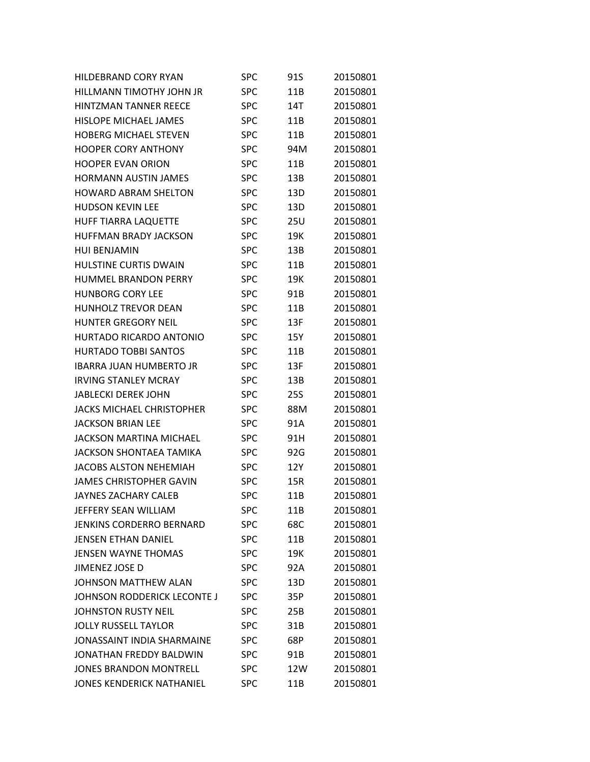| <b>HILDEBRAND CORY RYAN</b>       | SPC        | 91S | 20150801 |
|-----------------------------------|------------|-----|----------|
| HILLMANN TIMOTHY JOHN JR          | <b>SPC</b> | 11B | 20150801 |
| <b>HINTZMAN TANNER REECE</b>      | <b>SPC</b> | 14T | 20150801 |
| <b>HISLOPE MICHAEL JAMES</b>      | <b>SPC</b> | 11B | 20150801 |
| <b>HOBERG MICHAEL STEVEN</b>      | <b>SPC</b> | 11B | 20150801 |
| <b>HOOPER CORY ANTHONY</b>        | <b>SPC</b> | 94M | 20150801 |
| <b>HOOPER EVAN ORION</b>          | <b>SPC</b> | 11B | 20150801 |
| <b>HORMANN AUSTIN JAMES</b>       | SPC        | 13B | 20150801 |
| <b>HOWARD ABRAM SHELTON</b>       | SPC        | 13D | 20150801 |
| <b>HUDSON KEVIN LEE</b>           | <b>SPC</b> | 13D | 20150801 |
| <b>HUFF TIARRA LAQUETTE</b>       | <b>SPC</b> | 25U | 20150801 |
| <b>HUFFMAN BRADY JACKSON</b>      | SPC        | 19K | 20150801 |
| <b>HUI BENJAMIN</b>               | SPC        | 13B | 20150801 |
| <b>HULSTINE CURTIS DWAIN</b>      | <b>SPC</b> | 11B | 20150801 |
| <b>HUMMEL BRANDON PERRY</b>       | <b>SPC</b> | 19K | 20150801 |
| <b>HUNBORG CORY LEE</b>           | SPC        | 91B | 20150801 |
| <b>HUNHOLZ TREVOR DEAN</b>        | SPC        | 11B | 20150801 |
| <b>HUNTER GREGORY NEIL</b>        | SPC        | 13F | 20150801 |
| HURTADO RICARDO ANTONIO           | <b>SPC</b> | 15Y | 20150801 |
| <b>HURTADO TOBBI SANTOS</b>       | SPC        | 11B | 20150801 |
| <b>IBARRA JUAN HUMBERTO JR</b>    | SPC        | 13F | 20150801 |
| <b>IRVING STANLEY MCRAY</b>       | SPC        | 13B | 20150801 |
| <b>JABLECKI DEREK JOHN</b>        | <b>SPC</b> | 25S | 20150801 |
| <b>JACKS MICHAEL CHRISTOPHER</b>  | SPC        | 88M | 20150801 |
| JACKSON BRIAN LEE                 | SPC        | 91A | 20150801 |
| <b>JACKSON MARTINA MICHAEL</b>    | <b>SPC</b> | 91H | 20150801 |
| <b>JACKSON SHONTAEA TAMIKA</b>    | SPC        | 92G | 20150801 |
| <b>JACOBS ALSTON NEHEMIAH</b>     | SPC        | 12Y | 20150801 |
| <b>JAMES CHRISTOPHER GAVIN</b>    | SPC        | 15R | 20150801 |
| <b>JAYNES ZACHARY CALEB</b>       | <b>SPC</b> | 11B | 20150801 |
| JEFFERY SEAN WILLIAM              | SPC        | 11B | 20150801 |
| <b>JENKINS CORDERRO BERNARD</b>   | <b>SPC</b> | 68C | 20150801 |
| <b>JENSEN ETHAN DANIEL</b>        | <b>SPC</b> | 11B | 20150801 |
| <b>JENSEN WAYNE THOMAS</b>        | <b>SPC</b> | 19K | 20150801 |
| JIMENEZ JOSE D                    | <b>SPC</b> | 92A | 20150801 |
| <b>JOHNSON MATTHEW ALAN</b>       | <b>SPC</b> | 13D | 20150801 |
| JOHNSON RODDERICK LECONTE J       | <b>SPC</b> | 35P | 20150801 |
| <b>JOHNSTON RUSTY NEIL</b>        | SPC        | 25B | 20150801 |
| <b>JOLLY RUSSELL TAYLOR</b>       | SPC        | 31B | 20150801 |
| <b>JONASSAINT INDIA SHARMAINE</b> | <b>SPC</b> | 68P | 20150801 |
| JONATHAN FREDDY BALDWIN           | <b>SPC</b> | 91B | 20150801 |
| <b>JONES BRANDON MONTRELL</b>     | <b>SPC</b> | 12W | 20150801 |
| <b>JONES KENDERICK NATHANIEL</b>  | SPC        | 11B | 20150801 |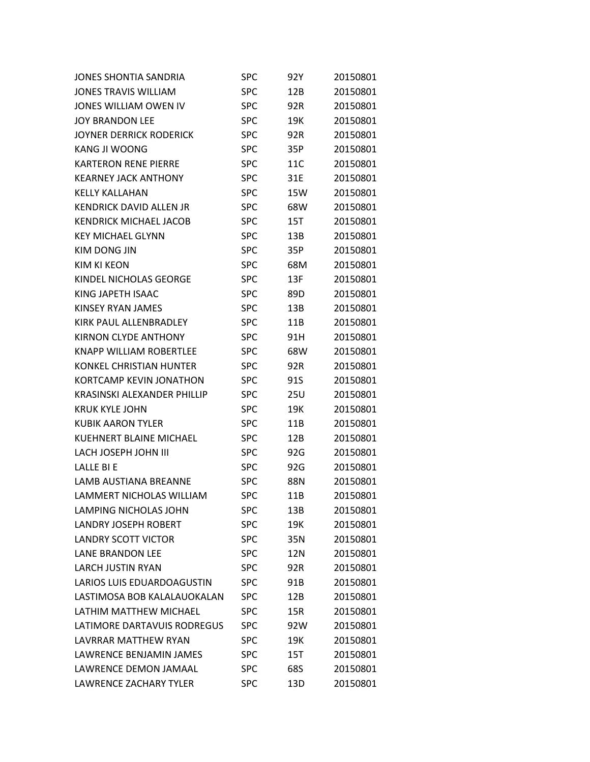| <b>JONES SHONTIA SANDRIA</b>      | SPC        | 92Y | 20150801 |
|-----------------------------------|------------|-----|----------|
| <b>JONES TRAVIS WILLIAM</b>       | <b>SPC</b> | 12B | 20150801 |
| JONES WILLIAM OWEN IV             | <b>SPC</b> | 92R | 20150801 |
| <b>JOY BRANDON LEE</b>            | SPC        | 19K | 20150801 |
| <b>JOYNER DERRICK RODERICK</b>    | <b>SPC</b> | 92R | 20150801 |
| <b>KANG JI WOONG</b>              | <b>SPC</b> | 35P | 20150801 |
| <b>KARTERON RENE PIERRE</b>       | <b>SPC</b> | 11C | 20150801 |
| <b>KFARNEY JACK ANTHONY</b>       | <b>SPC</b> | 31E | 20150801 |
| KELLY KALLAHAN                    | <b>SPC</b> | 15W | 20150801 |
| <b>KENDRICK DAVID ALLEN JR</b>    | <b>SPC</b> | 68W | 20150801 |
| <b>KENDRICK MICHAEL JACOB</b>     | <b>SPC</b> | 15T | 20150801 |
| <b>KEY MICHAEL GLYNN</b>          | <b>SPC</b> | 13B | 20150801 |
| <b>KIM DONG JIN</b>               | SPC        | 35P | 20150801 |
| <b>KIM KI KEON</b>                | <b>SPC</b> | 68M | 20150801 |
| KINDEL NICHOLAS GEORGE            | <b>SPC</b> | 13F | 20150801 |
| KING JAPETH ISAAC                 | SPC        | 89D | 20150801 |
| KINSEY RYAN JAMES                 | <b>SPC</b> | 13B | 20150801 |
| KIRK PAUL ALLENBRADLEY            | <b>SPC</b> | 11B | 20150801 |
| KIRNON CLYDE ANTHONY              | <b>SPC</b> | 91H | 20150801 |
| <b>KNAPP WILLIAM ROBERTLEE</b>    | SPC        | 68W | 20150801 |
| <b>KONKEL CHRISTIAN HUNTER</b>    | <b>SPC</b> | 92R | 20150801 |
| <b>KORTCAMP KEVIN JONATHON</b>    | <b>SPC</b> | 91S | 20150801 |
| KRASINSKI ALEXANDER PHILLIP       | <b>SPC</b> | 25U | 20150801 |
| <b>KRUK KYLE JOHN</b>             | SPC        | 19K | 20150801 |
| <b>KUBIK AARON TYLER</b>          | SPC        | 11B | 20150801 |
| <b>KUEHNERT BLAINE MICHAEL</b>    | <b>SPC</b> | 12B | 20150801 |
| LACH JOSEPH JOHN III              | <b>SPC</b> | 92G | 20150801 |
| LALLE BI E                        | SPC        | 92G | 20150801 |
| LAMB AUSTIANA BREANNE             | <b>SPC</b> | 88N | 20150801 |
| LAMMERT NICHOLAS WILLIAM          | <b>SPC</b> | 11B | 20150801 |
| LAMPING NICHOLAS JOHN             | SPC        | 13B | 20150801 |
| <b>LANDRY JOSEPH ROBERT</b>       | <b>SPC</b> | 19K | 20150801 |
| <b>LANDRY SCOTT VICTOR</b>        | <b>SPC</b> | 35N | 20150801 |
| LANE BRANDON LEE                  | SPC        | 12N | 20150801 |
| <b>LARCH JUSTIN RYAN</b>          | <b>SPC</b> | 92R | 20150801 |
| <b>LARIOS LUIS EDUARDOAGUSTIN</b> | <b>SPC</b> | 91B | 20150801 |
| LASTIMOSA BOB KALALAUOKALAN       | <b>SPC</b> | 12B | 20150801 |
| LATHIM MATTHEW MICHAEL            | SPC        | 15R | 20150801 |
| LATIMORE DARTAVUIS RODREGUS       | SPC        | 92W | 20150801 |
| LAVRRAR MATTHEW RYAN              | <b>SPC</b> | 19K | 20150801 |
| LAWRENCE BENJAMIN JAMES           | <b>SPC</b> | 15T | 20150801 |
| LAWRENCE DEMON JAMAAL             | <b>SPC</b> | 68S | 20150801 |
| <b>LAWRENCE ZACHARY TYLER</b>     | <b>SPC</b> | 13D | 20150801 |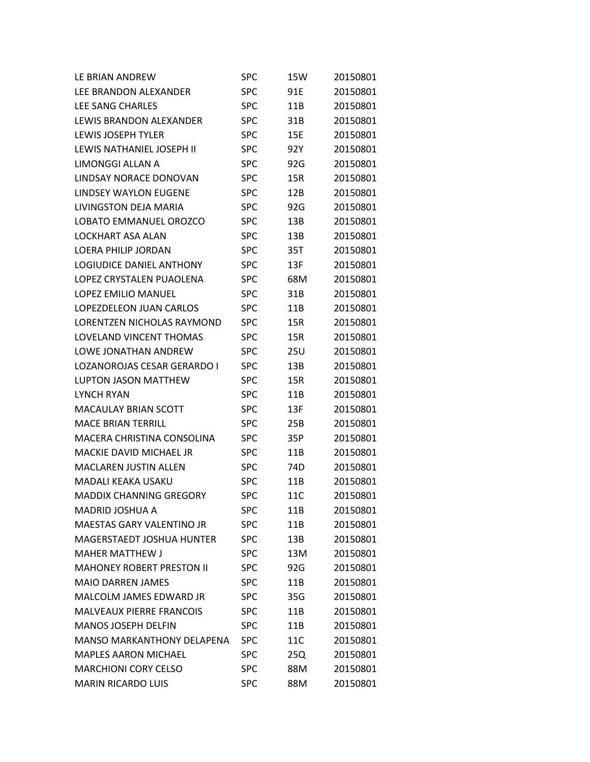| LE BRIAN ANDREW                   | SPC        | 15W | 20150801 |
|-----------------------------------|------------|-----|----------|
| LEE BRANDON ALEXANDER             | <b>SPC</b> | 91E | 20150801 |
| <b>LFF SANG CHARLFS</b>           | SPC        | 11B | 20150801 |
| LEWIS BRANDON ALEXANDER           | <b>SPC</b> | 31B | 20150801 |
| <b>LEWIS JOSEPH TYLER</b>         | SPC        | 15E | 20150801 |
| LEWIS NATHANIEL JOSEPH II         | <b>SPC</b> | 92Y | 20150801 |
| LIMONGGI ALLAN A                  | <b>SPC</b> | 92G | 20150801 |
| LINDSAY NORACE DONOVAN            | SPC        | 15R | 20150801 |
| <b>LINDSFY WAYLON FUGENE</b>      | SPC        | 12B | 20150801 |
| LIVINGSTON DEJA MARIA             | SPC        | 92G | 20150801 |
| LOBATO EMMANUEL OROZCO            | <b>SPC</b> | 13B | 20150801 |
| <b>LOCKHART ASA ALAN</b>          | SPC        | 13B | 20150801 |
| LOFRA PHILIP JORDAN               | SPC        | 35T | 20150801 |
| <b>LOGIUDICF DANIFL ANTHONY</b>   | SPC        | 13F | 20150801 |
| LOPFZ CRYSTALFN PUAOLFNA          | SPC        | 68M | 20150801 |
| LOPFZ FMILIO MANUFL               | SPC        | 31B | 20150801 |
| LOPEZDELFON JUAN CARLOS           | SPC        | 11B | 20150801 |
| LORENTZEN NICHOLAS RAYMOND        | SPC        | 15R | 20150801 |
| <b>LOVELAND VINCENT THOMAS</b>    | SPC        | 15R | 20150801 |
| LOWE JONATHAN ANDREW              | SPC        | 25U | 20150801 |
| LOZANOROJAS CESAR GERARDO I       | SPC        | 13B | 20150801 |
| <b>LUPTON JASON MATTHEW</b>       | SPC        | 15R | 20150801 |
| <b>LYNCH RYAN</b>                 | SPC        | 11B | 20150801 |
| <b>MACAULAY BRIAN SCOTT</b>       | SPC        | 13F | 20150801 |
| <b>MACE BRIAN TERRILL</b>         | SPC        | 25B | 20150801 |
| MACERA CHRISTINA CONSOLINA        | SPC        | 35P | 20150801 |
| <b>MACKIE DAVID MICHAEL JR</b>    | SPC        | 11B | 20150801 |
| <b>MACLAREN JUSTIN ALLEN</b>      | SPC        | 74D | 20150801 |
| <b>MADALI KEAKA USAKU</b>         | SPC        | 11B | 20150801 |
| <b>MADDIX CHANNING GREGORY</b>    | <b>SPC</b> | 11C | 20150801 |
| <b>MADRID JOSHUA A</b>            | SPC        | 11B | 20150801 |
| <b>MAESTAS GARY VALENTINO JR</b>  | <b>SPC</b> | 11B | 20150801 |
| MAGERSTAEDT JOSHUA HUNTER         | <b>SPC</b> | 13B | 20150801 |
| <b>MAHER MATTHEW J</b>            | SPC        | 13M | 20150801 |
| <b>MAHONEY ROBERT PRESTON II</b>  | <b>SPC</b> | 92G | 20150801 |
| <b>MAIO DARREN JAMES</b>          | <b>SPC</b> | 11B | 20150801 |
| <b>MALCOLM JAMES EDWARD JR</b>    | <b>SPC</b> | 35G | 20150801 |
| <b>MALVEAUX PIERRE FRANCOIS</b>   | <b>SPC</b> | 11B | 20150801 |
| <b>MANOS JOSEPH DELFIN</b>        | <b>SPC</b> | 11B | 20150801 |
| <b>MANSO MARKANTHONY DELAPENA</b> | <b>SPC</b> | 11C | 20150801 |
| <b>MAPLES AARON MICHAEL</b>       | <b>SPC</b> | 25Q | 20150801 |
| <b>MARCHIONI CORY CELSO</b>       | <b>SPC</b> | 88M | 20150801 |
| <b>MARIN RICARDO LUIS</b>         | <b>SPC</b> | 88M | 20150801 |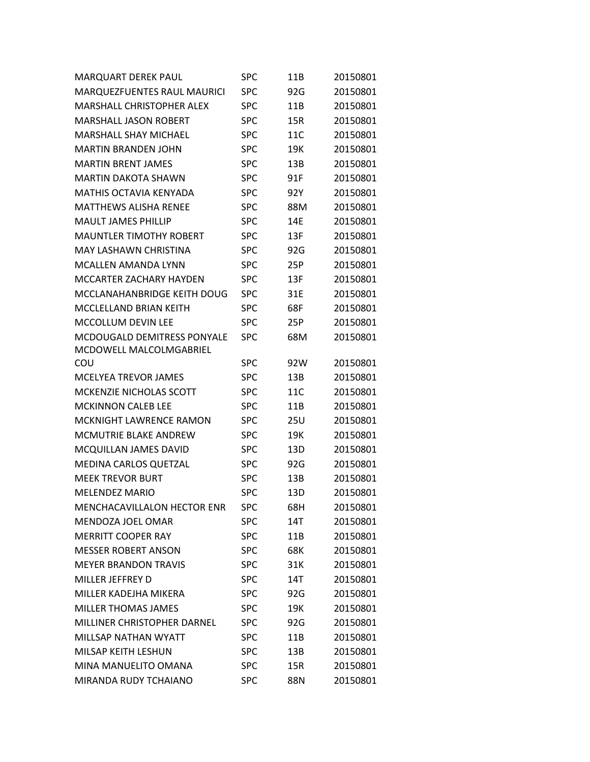| <b>MARQUART DEREK PAUL</b>         | <b>SPC</b> | 11B | 20150801 |
|------------------------------------|------------|-----|----------|
| MARQUEZFUENTES RAUL MAURICI        | <b>SPC</b> | 92G | 20150801 |
| <b>MARSHALL CHRISTOPHER ALEX</b>   | <b>SPC</b> | 11B | 20150801 |
| <b>MARSHALL JASON ROBERT</b>       | <b>SPC</b> | 15R | 20150801 |
| <b>MARSHALL SHAY MICHAEL</b>       | <b>SPC</b> | 11C | 20150801 |
| <b>MARTIN BRANDEN JOHN</b>         | <b>SPC</b> | 19K | 20150801 |
| <b>MARTIN BRENT JAMES</b>          | <b>SPC</b> | 13B | 20150801 |
| <b>MARTIN DAKOTA SHAWN</b>         | <b>SPC</b> | 91F | 20150801 |
| <b>MATHIS OCTAVIA KENYADA</b>      | <b>SPC</b> | 92Y | 20150801 |
| <b>MATTHEWS ALISHA RENEE</b>       | <b>SPC</b> | 88M | 20150801 |
| <b>MAULT JAMES PHILLIP</b>         | <b>SPC</b> | 14E | 20150801 |
| <b>MAUNTLER TIMOTHY ROBERT</b>     | <b>SPC</b> | 13F | 20150801 |
| <b>MAY LASHAWN CHRISTINA</b>       | <b>SPC</b> | 92G | 20150801 |
| <b>MCALLEN AMANDA LYNN</b>         | <b>SPC</b> | 25P | 20150801 |
| <b>MCCARTER ZACHARY HAYDEN</b>     | <b>SPC</b> | 13F | 20150801 |
| MCCLANAHANBRIDGE KEITH DOUG        | <b>SPC</b> | 31E | 20150801 |
| MCCLELLAND BRIAN KEITH             | <b>SPC</b> | 68F | 20150801 |
| <b>MCCOLLUM DEVIN LEE</b>          | <b>SPC</b> | 25P | 20150801 |
| <b>MCDOUGALD DEMITRESS PONYALE</b> | <b>SPC</b> | 68M | 20150801 |
| MCDOWELL MALCOLMGABRIEL            |            |     |          |
| COU                                | <b>SPC</b> | 92W | 20150801 |
| <b>MCELYEA TREVOR JAMES</b>        | <b>SPC</b> | 13B | 20150801 |
| MCKENZIE NICHOLAS SCOTT            | <b>SPC</b> | 11C | 20150801 |
| <b>MCKINNON CALEB LEE</b>          | <b>SPC</b> | 11B | 20150801 |
| MCKNIGHT LAWRENCE RAMON            | <b>SPC</b> | 25U | 20150801 |
| <b>MCMUTRIE BLAKE ANDREW</b>       | <b>SPC</b> | 19K | 20150801 |
| MCQUILLAN JAMES DAVID              | <b>SPC</b> | 13D | 20150801 |
| MEDINA CARLOS QUETZAL              | <b>SPC</b> | 92G | 20150801 |
| <b>MEEK TREVOR BURT</b>            | <b>SPC</b> | 13B | 20150801 |
| <b>MELENDEZ MARIO</b>              | <b>SPC</b> | 13D | 20150801 |
| MENCHACAVILLALON HECTOR ENR        | <b>SPC</b> | 68H | 20150801 |
| MENDOZA JOEL OMAR                  | <b>SPC</b> | 14T | 20150801 |
| <b>MERRITT COOPER RAY</b>          | <b>SPC</b> | 11B | 20150801 |
| <b>MESSER ROBERT ANSON</b>         | <b>SPC</b> | 68K | 20150801 |
| <b>MEYER BRANDON TRAVIS</b>        | <b>SPC</b> | 31K | 20150801 |
| MILLER JEFFREY D                   | <b>SPC</b> | 14T | 20150801 |
| MILLER KADEJHA MIKERA              | <b>SPC</b> | 92G | 20150801 |
| <b>MILLER THOMAS JAMES</b>         | <b>SPC</b> | 19K | 20150801 |
| MILLINER CHRISTOPHER DARNEL        | <b>SPC</b> | 92G | 20150801 |
| <b>MILLSAP NATHAN WYATT</b>        | <b>SPC</b> | 11B | 20150801 |
| MILSAP KEITH LESHUN                | <b>SPC</b> | 13B | 20150801 |
| MINA MANUELITO OMANA               | <b>SPC</b> | 15R | 20150801 |
| MIRANDA RUDY TCHAIANO              | <b>SPC</b> | 88N | 20150801 |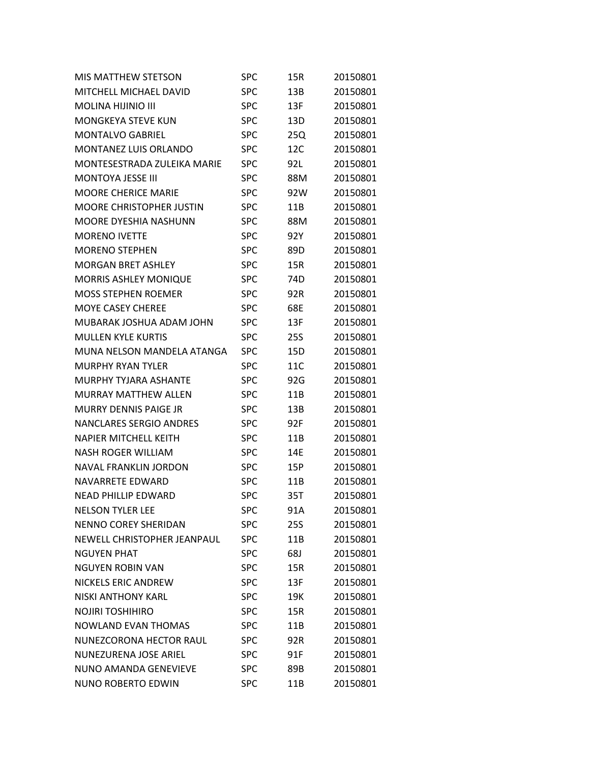| <b>MIS MATTHEW STETSON</b>      | <b>SPC</b> | 15R             | 20150801 |
|---------------------------------|------------|-----------------|----------|
| MITCHELL MICHAEL DAVID          | <b>SPC</b> | 13B             | 20150801 |
| <b>MOLINA HIJINIO III</b>       | <b>SPC</b> | 13F             | 20150801 |
| <b>MONGKEYA STEVE KUN</b>       | <b>SPC</b> | 13D             | 20150801 |
| <b>MONTALVO GABRIEL</b>         | <b>SPC</b> | 25Q             | 20150801 |
| <b>MONTANEZ LUIS ORLANDO</b>    | <b>SPC</b> | 12C             | 20150801 |
| MONTESESTRADA ZULEIKA MARIE     | <b>SPC</b> | 92L             | 20150801 |
| <b>MONTOYA JESSE III</b>        | <b>SPC</b> | 88M             | 20150801 |
| <b>MOORE CHERICE MARIE</b>      | <b>SPC</b> | 92W             | 20150801 |
| <b>MOORE CHRISTOPHER JUSTIN</b> | <b>SPC</b> | 11B             | 20150801 |
| MOORE DYESHIA NASHUNN           | <b>SPC</b> | 88M             | 20150801 |
| <b>MORENO IVETTE</b>            | <b>SPC</b> | 92Y             | 20150801 |
| <b>MORENO STEPHEN</b>           | <b>SPC</b> | 89D             | 20150801 |
| <b>MORGAN BRET ASHLEY</b>       | <b>SPC</b> | 15R             | 20150801 |
| <b>MORRIS ASHLEY MONIQUE</b>    | <b>SPC</b> | 74D             | 20150801 |
| <b>MOSS STEPHEN ROEMER</b>      | <b>SPC</b> | 92R             | 20150801 |
| MOYE CASEY CHEREE               | <b>SPC</b> | 68E             | 20150801 |
| MUBARAK JOSHUA ADAM JOHN        | <b>SPC</b> | 13F             | 20150801 |
| <b>MULLEN KYLE KURTIS</b>       | <b>SPC</b> | <b>25S</b>      | 20150801 |
| MUNA NELSON MANDELA ATANGA      | <b>SPC</b> | 15 <sub>D</sub> | 20150801 |
| <b>MURPHY RYAN TYLER</b>        | <b>SPC</b> | 11C             | 20150801 |
| MURPHY TYJARA ASHANTE           | <b>SPC</b> | 92G             | 20150801 |
| <b>MURRAY MATTHEW ALLEN</b>     | <b>SPC</b> | 11B             | 20150801 |
| <b>MURRY DENNIS PAIGE JR</b>    | <b>SPC</b> | 13B             | 20150801 |
| <b>NANCLARES SERGIO ANDRES</b>  | <b>SPC</b> | 92F             | 20150801 |
| <b>NAPIER MITCHELL KEITH</b>    | <b>SPC</b> | 11B             | 20150801 |
| <b>NASH ROGER WILLIAM</b>       | <b>SPC</b> | 14E             | 20150801 |
| <b>NAVAL FRANKLIN JORDON</b>    | <b>SPC</b> | 15P             | 20150801 |
| NAVARRETE EDWARD                | <b>SPC</b> | 11B             | 20150801 |
| <b>NEAD PHILLIP EDWARD</b>      | <b>SPC</b> | 35T             | 20150801 |
| <b>NELSON TYLER LEE</b>         | <b>SPC</b> | 91A             | 20150801 |
| <b>NENNO COREY SHERIDAN</b>     | <b>SPC</b> | <b>25S</b>      | 20150801 |
| NEWELL CHRISTOPHER JEANPAUL     | <b>SPC</b> | 11B             | 20150801 |
| <b>NGUYEN PHAT</b>              | <b>SPC</b> | 68J             | 20150801 |
| <b>NGUYEN ROBIN VAN</b>         | <b>SPC</b> | 15R             | 20150801 |
| <b>NICKELS ERIC ANDREW</b>      | <b>SPC</b> | 13F             | 20150801 |
| <b>NISKI ANTHONY KARL</b>       | <b>SPC</b> | 19K             | 20150801 |
| <b>NOJIRI TOSHIHIRO</b>         | <b>SPC</b> | 15R             | 20150801 |
| <b>NOWLAND EVAN THOMAS</b>      | <b>SPC</b> | 11B             | 20150801 |
| NUNEZCORONA HECTOR RAUL         | <b>SPC</b> | 92R             | 20150801 |
| NUNEZURENA JOSE ARIEL           | <b>SPC</b> | 91F             | 20150801 |
| NUNO AMANDA GENEVIEVE           | <b>SPC</b> | 89B             | 20150801 |
| NUNO ROBERTO EDWIN              | <b>SPC</b> | 11B             | 20150801 |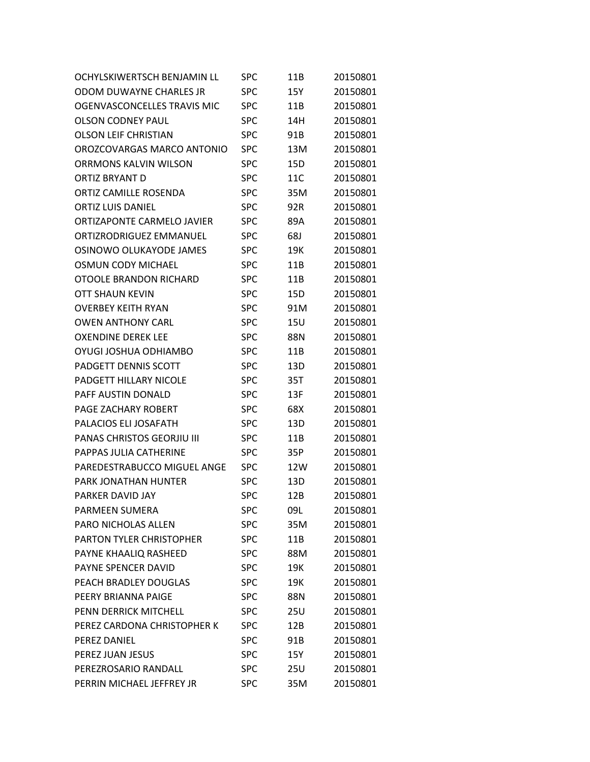| OCHYLSKIWERTSCH BENJAMIN LL  | <b>SPC</b> | 11B | 20150801 |
|------------------------------|------------|-----|----------|
| ODOM DUWAYNE CHARLES JR      | <b>SPC</b> | 15Y | 20150801 |
| OGENVASCONCELLES TRAVIS MIC  | <b>SPC</b> | 11B | 20150801 |
| <b>OLSON CODNEY PAUL</b>     | <b>SPC</b> | 14H | 20150801 |
| <b>OLSON LEIF CHRISTIAN</b>  | <b>SPC</b> | 91B | 20150801 |
| OROZCOVARGAS MARCO ANTONIO   | <b>SPC</b> | 13M | 20150801 |
| <b>ORRMONS KALVIN WILSON</b> | <b>SPC</b> | 15D | 20150801 |
| <b>ORTIZ BRYANT D</b>        | <b>SPC</b> | 11C | 20150801 |
| ORTIZ CAMILLF ROSFNDA        | <b>SPC</b> | 35M | 20150801 |
| <b>ORTIZ LUIS DANIEL</b>     | <b>SPC</b> | 92R | 20150801 |
| ORTIZAPONTE CARMELO JAVIER   | <b>SPC</b> | 89A | 20150801 |
| ORTIZRODRIGUEZ EMMANUEL      | <b>SPC</b> | 68J | 20150801 |
| OSINOWO OLUKAYODE JAMES      | <b>SPC</b> | 19K | 20150801 |
| <b>OSMUN CODY MICHAEL</b>    | <b>SPC</b> | 11B | 20150801 |
| OTOOLE BRANDON RICHARD       | <b>SPC</b> | 11B | 20150801 |
| OTT SHAUN KEVIN              | <b>SPC</b> | 15D | 20150801 |
| <b>OVERBEY KEITH RYAN</b>    | <b>SPC</b> | 91M | 20150801 |
| <b>OWEN ANTHONY CARL</b>     | <b>SPC</b> | 15U | 20150801 |
| <b>OXENDINE DEREK LEE</b>    | <b>SPC</b> | 88N | 20150801 |
| OYUGI JOSHUA ODHIAMBO        | <b>SPC</b> | 11B | 20150801 |
| <b>PADGETT DENNIS SCOTT</b>  | <b>SPC</b> | 13D | 20150801 |
| PADGETT HILLARY NICOLE       | <b>SPC</b> | 35T | 20150801 |
| PAFF AUSTIN DONALD           | <b>SPC</b> | 13F | 20150801 |
| PAGE ZACHARY ROBERT          | <b>SPC</b> | 68X | 20150801 |
| PALACIOS ELI JOSAFATH        | <b>SPC</b> | 13D | 20150801 |
| PANAS CHRISTOS GEORJIU III   | <b>SPC</b> | 11B | 20150801 |
| PAPPAS JULIA CATHERINE       | <b>SPC</b> | 35P | 20150801 |
| PAREDESTRABUCCO MIGUEL ANGE  | <b>SPC</b> | 12W | 20150801 |
| PARK JONATHAN HUNTER         | SPC        | 13D | 20150801 |
| PARKER DAVID JAY             | SPC        | 12B | 20150801 |
| <b>PARMEEN SUMERA</b>        | <b>SPC</b> | 09L | 20150801 |
| PARO NICHOLAS ALLEN          | <b>SPC</b> | 35M | 20150801 |
| PARTON TYLER CHRISTOPHER     | <b>SPC</b> | 11B | 20150801 |
| PAYNE KHAALIQ RASHEED        | <b>SPC</b> | 88M | 20150801 |
| PAYNE SPENCER DAVID          | <b>SPC</b> | 19K | 20150801 |
| PEACH BRADLEY DOUGLAS        | <b>SPC</b> | 19K | 20150801 |
| PEERY BRIANNA PAIGE          | <b>SPC</b> | 88N | 20150801 |
| PENN DERRICK MITCHELL        | SPC        | 25U | 20150801 |
| PEREZ CARDONA CHRISTOPHER K  | <b>SPC</b> | 12B | 20150801 |
| PEREZ DANIEL                 | <b>SPC</b> | 91B | 20150801 |
| PEREZ JUAN JESUS             | <b>SPC</b> | 15Y | 20150801 |
| PEREZROSARIO RANDALL         | <b>SPC</b> | 25U | 20150801 |
| PERRIN MICHAEL JEFFREY JR    | <b>SPC</b> | 35M | 20150801 |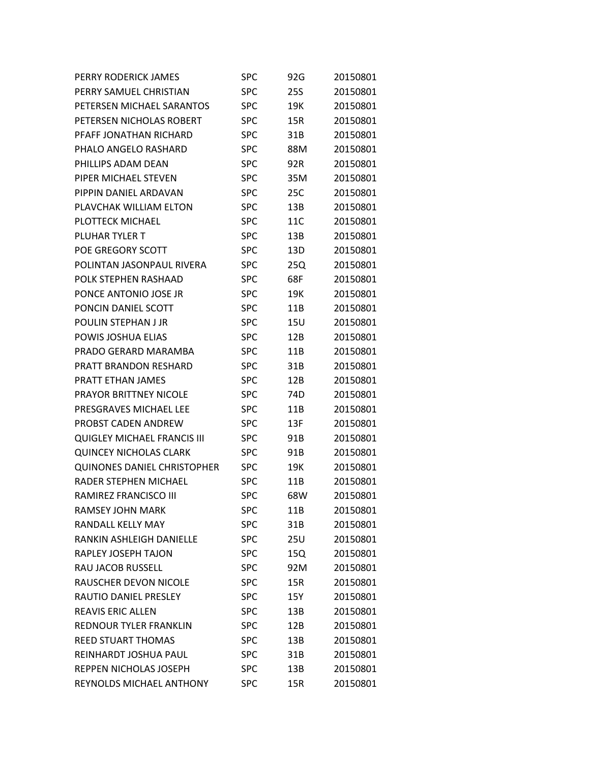| PERRY RODERICK JAMES               | SPC        | 92G        | 20150801 |
|------------------------------------|------------|------------|----------|
| PERRY SAMUEL CHRISTIAN             | <b>SPC</b> | <b>25S</b> | 20150801 |
| PETERSEN MICHAEL SARANTOS          | <b>SPC</b> | 19K        | 20150801 |
| PETERSEN NICHOLAS ROBERT           | <b>SPC</b> | 15R        | 20150801 |
| PFAFF JONATHAN RICHARD             | SPC        | 31B        | 20150801 |
| PHALO ANGELO RASHARD               | SPC        | 88M        | 20150801 |
| PHILLIPS ADAM DEAN                 | <b>SPC</b> | 92R        | 20150801 |
| PIPER MICHAEL STEVEN               | <b>SPC</b> | 35M        | 20150801 |
| PIPPIN DANIEL ARDAVAN              | SPC        | 25C        | 20150801 |
| PLAVCHAK WILLIAM ELTON             | <b>SPC</b> | 13B        | 20150801 |
| PLOTTECK MICHAEL                   | <b>SPC</b> | 11C        | 20150801 |
| PLUHAR TYLER T                     | <b>SPC</b> | 13B        | 20150801 |
| POE GREGORY SCOTT                  | SPC        | 13D        | 20150801 |
| POLINTAN JASONPAUL RIVERA          | SPC        | 25Q        | 20150801 |
| POLK STEPHEN RASHAAD               | <b>SPC</b> | 68F        | 20150801 |
| PONCE ANTONIO JOSE JR              | <b>SPC</b> | 19K        | 20150801 |
| PONCIN DANIEL SCOTT                | <b>SPC</b> | 11B        | 20150801 |
| POULIN STEPHAN J JR                | <b>SPC</b> | <b>15U</b> | 20150801 |
| POWIS JOSHUA ELIAS                 | <b>SPC</b> | 12B        | 20150801 |
| PRADO GERARD MARAMBA               | SPC        | 11B        | 20150801 |
| <b>PRATT BRANDON RESHARD</b>       | SPC        | 31B        | 20150801 |
| PRATT ETHAN JAMES                  | <b>SPC</b> | 12B        | 20150801 |
| <b>PRAYOR BRITTNEY NICOLE</b>      | <b>SPC</b> | 74D        | 20150801 |
| PRESGRAVES MICHAEL LEE             | SPC        | 11B        | 20150801 |
| PROBST CADEN ANDREW                | SPC        | 13F        | 20150801 |
| <b>QUIGLEY MICHAEL FRANCIS III</b> | SPC        | 91B        | 20150801 |
| <b>QUINCEY NICHOLAS CLARK</b>      | SPC        | 91B        | 20150801 |
| <b>QUINONES DANIEL CHRISTOPHER</b> | SPC        | 19K        | 20150801 |
| RADER STEPHEN MICHAEL              | SPC        | 11B        | 20150801 |
| RAMIREZ FRANCISCO III              | <b>SPC</b> | 68W        | 20150801 |
| <b>RAMSEY JOHN MARK</b>            | SPC        | 11B        | 20150801 |
| RANDALL KELLY MAY                  | <b>SPC</b> | 31B        | 20150801 |
| <b>RANKIN ASHLEIGH DANIELLE</b>    | <b>SPC</b> | 25U        | 20150801 |
| RAPLEY JOSEPH TAJON                | <b>SPC</b> | 15Q        | 20150801 |
| <b>RAU JACOB RUSSELL</b>           | <b>SPC</b> | 92M        | 20150801 |
| RAUSCHER DEVON NICOLE              | <b>SPC</b> | 15R        | 20150801 |
| <b>RAUTIO DANIEL PRESLEY</b>       | <b>SPC</b> | 15Y        | 20150801 |
| <b>REAVIS ERIC ALLEN</b>           | <b>SPC</b> | 13B        | 20150801 |
| <b>REDNOUR TYLER FRANKLIN</b>      | <b>SPC</b> | 12B        | 20150801 |
| <b>REED STUART THOMAS</b>          | <b>SPC</b> | 13B        | 20150801 |
| REINHARDT JOSHUA PAUL              | <b>SPC</b> | 31B        | 20150801 |
| REPPEN NICHOLAS JOSEPH             | <b>SPC</b> | 13B        | 20150801 |
| REYNOLDS MICHAEL ANTHONY           | SPC        | 15R        | 20150801 |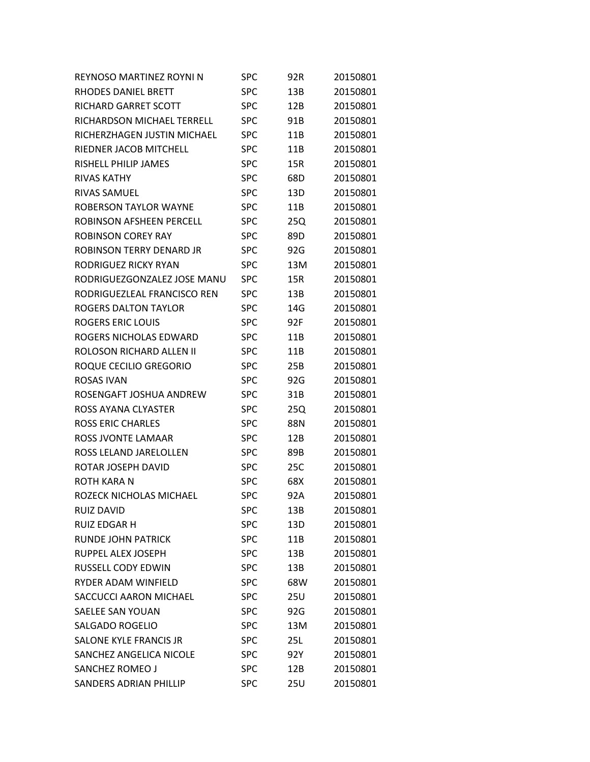| REYNOSO MARTINEZ ROYNI N      | <b>SPC</b> | 92R        | 20150801 |
|-------------------------------|------------|------------|----------|
| RHODES DANIEL BRETT           | <b>SPC</b> | 13B        | 20150801 |
| <b>RICHARD GARRET SCOTT</b>   | <b>SPC</b> | 12B        | 20150801 |
| RICHARDSON MICHAEL TERRELL    | <b>SPC</b> | 91B        | 20150801 |
| RICHERZHAGEN JUSTIN MICHAEL   | <b>SPC</b> | 11B        | 20150801 |
| RIEDNER JACOB MITCHELL        | <b>SPC</b> | 11B        | 20150801 |
| RISHELL PHILIP JAMES          | <b>SPC</b> | 15R        | 20150801 |
| <b>RIVAS KATHY</b>            | <b>SPC</b> | 68D        | 20150801 |
| <b>RIVAS SAMUEL</b>           | <b>SPC</b> | 13D        | 20150801 |
| <b>ROBERSON TAYLOR WAYNE</b>  | <b>SPC</b> | 11B        | 20150801 |
| ROBINSON AFSHEEN PERCELL      | <b>SPC</b> | 25Q        | 20150801 |
| <b>ROBINSON COREY RAY</b>     | SPC        | 89D        | 20150801 |
| ROBINSON TERRY DENARD JR      | SPC        | 92G        | 20150801 |
| RODRIGUEZ RICKY RYAN          | SPC        | 13M        | 20150801 |
| RODRIGUEZGONZALEZ JOSE MANU   | <b>SPC</b> | 15R        | 20150801 |
| RODRIGUEZLEAL FRANCISCO REN   | SPC        | 13B        | 20150801 |
| <b>ROGERS DALTON TAYLOR</b>   | <b>SPC</b> | 14G        | 20150801 |
| <b>ROGERS ERIC LOUIS</b>      | SPC        | 92F        | 20150801 |
| ROGERS NICHOLAS EDWARD        | <b>SPC</b> | 11B        | 20150801 |
| ROLOSON RICHARD ALLEN II      | SPC        | 11B        | 20150801 |
| ROQUE CECILIO GREGORIO        | SPC        | 25B        | 20150801 |
| <b>ROSAS IVAN</b>             | <b>SPC</b> | 92G        | 20150801 |
| ROSENGAFT JOSHUA ANDREW       | <b>SPC</b> | 31B        | 20150801 |
| ROSS AYANA CLYASTER           | SPC        | 25Q        | 20150801 |
| <b>ROSS ERIC CHARLES</b>      | SPC        | 88N        | 20150801 |
| ROSS JVONTE LAMAAR            | <b>SPC</b> | 12B        | 20150801 |
| ROSS LELAND JARELOLLEN        | SPC        | 89B        | 20150801 |
| ROTAR JOSEPH DAVID            | SPC        | 25C        | 20150801 |
| ROTH KARA N                   | SPC        | 68X        | 20150801 |
| ROZECK NICHOLAS MICHAEL       | <b>SPC</b> | 92A        | 20150801 |
| <b>RUIZ DAVID</b>             | SPC        | 13B        | 20150801 |
| <b>RUIZ EDGAR H</b>           | <b>SPC</b> | 13D        | 20150801 |
| <b>RUNDE JOHN PATRICK</b>     | <b>SPC</b> | 11B        | 20150801 |
| RUPPEL ALEX JOSEPH            | <b>SPC</b> | 13B        | 20150801 |
| RUSSELL CODY EDWIN            | <b>SPC</b> | 13B        | 20150801 |
| RYDER ADAM WINFIELD           | <b>SPC</b> | 68W        | 20150801 |
| SACCUCCI AARON MICHAEL        | <b>SPC</b> | 25U        | 20150801 |
| <b>SAELEE SAN YOUAN</b>       | <b>SPC</b> | 92G        | 20150801 |
| <b>SALGADO ROGELIO</b>        | <b>SPC</b> | 13M        | 20150801 |
| SALONE KYLE FRANCIS JR        | <b>SPC</b> | 25L        | 20150801 |
| SANCHEZ ANGELICA NICOLE       | <b>SPC</b> | 92Y        | 20150801 |
| SANCHEZ ROMEO J               | <b>SPC</b> | 12B        | 20150801 |
| <b>SANDERS ADRIAN PHILLIP</b> | <b>SPC</b> | <b>25U</b> | 20150801 |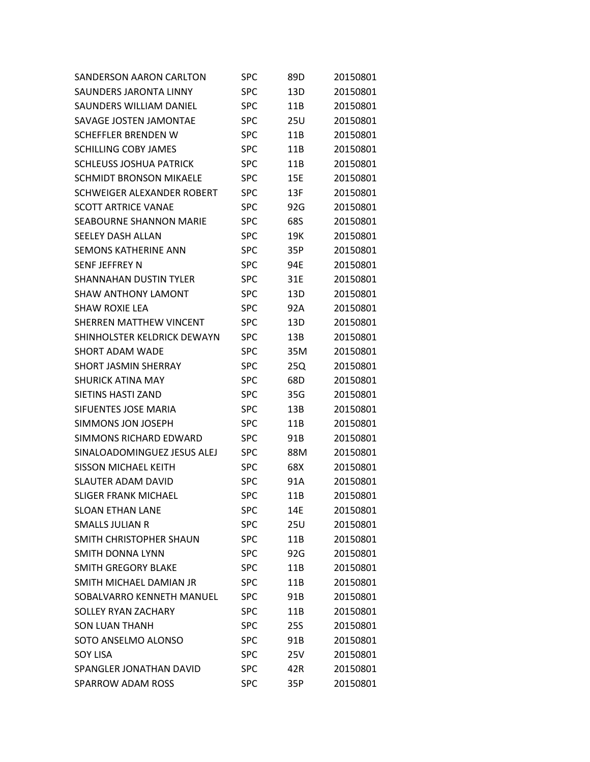| SANDERSON AARON CARLTON        | SPC        | 89D             | 20150801 |
|--------------------------------|------------|-----------------|----------|
| <b>SAUNDERS JARONTA LINNY</b>  | <b>SPC</b> | 13D             | 20150801 |
| SAUNDERS WILLIAM DANIEL        | <b>SPC</b> | 11B             | 20150801 |
| SAVAGE JOSTEN JAMONTAE         | <b>SPC</b> | 25U             | 20150801 |
| <b>SCHEFFLER BRENDEN W</b>     | <b>SPC</b> | 11B             | 20150801 |
| <b>SCHILLING COBY JAMES</b>    | <b>SPC</b> | 11B             | 20150801 |
| <b>SCHLEUSS JOSHUA PATRICK</b> | SPC        | 11B             | 20150801 |
| <b>SCHMIDT BRONSON MIKAELE</b> | <b>SPC</b> | 15E             | 20150801 |
| SCHWEIGER ALEXANDER ROBERT     | <b>SPC</b> | 13F             | 20150801 |
| <b>SCOTT ARTRICE VANAE</b>     | <b>SPC</b> | 92G             | 20150801 |
| <b>SEABOURNE SHANNON MARIE</b> | <b>SPC</b> | 68S             | 20150801 |
| <b>SEELEY DASH ALLAN</b>       | <b>SPC</b> | 19K             | 20150801 |
| <b>SEMONS KATHERINE ANN</b>    | <b>SPC</b> | 35P             | 20150801 |
| SENF JEFFREY N                 | <b>SPC</b> | 94E             | 20150801 |
| <b>SHANNAHAN DUSTIN TYLER</b>  | <b>SPC</b> | 31E             | 20150801 |
| <b>SHAW ANTHONY LAMONT</b>     | <b>SPC</b> | 13D             | 20150801 |
| <b>SHAW ROXIE LEA</b>          | <b>SPC</b> | 92A             | 20150801 |
| SHERREN MATTHEW VINCENT        | <b>SPC</b> | 13D             | 20150801 |
| SHINHOLSTER KELDRICK DEWAYN    | <b>SPC</b> | 13B             | 20150801 |
| <b>SHORT ADAM WADE</b>         | <b>SPC</b> | 35M             | 20150801 |
| <b>SHORT JASMIN SHERRAY</b>    | <b>SPC</b> | 25Q             | 20150801 |
| <b>SHURICK ATINA MAY</b>       | <b>SPC</b> | 68D             | 20150801 |
| SIETINS HASTI ZAND             | <b>SPC</b> | 35G             | 20150801 |
| <b>SIFUENTES JOSE MARIA</b>    | <b>SPC</b> | 13B             | 20150801 |
| SIMMONS JON JOSEPH             | <b>SPC</b> | 11B             | 20150801 |
| SIMMONS RICHARD EDWARD         | <b>SPC</b> | 91B             | 20150801 |
| SINALOADOMINGUEZ JESUS ALEJ    | <b>SPC</b> | 88M             | 20150801 |
| <b>SISSON MICHAEL KEITH</b>    | <b>SPC</b> | 68X             | 20150801 |
| <b>SLAUTER ADAM DAVID</b>      | <b>SPC</b> | 91A             | 20150801 |
| <b>SLIGER FRANK MICHAEL</b>    | <b>SPC</b> | 11B             | 20150801 |
| <b>SLOAN ETHAN LANE</b>        | SPC        | 14E             | 20150801 |
| <b>SMALLS JULIAN R</b>         | <b>SPC</b> | 25U             | 20150801 |
| SMITH CHRISTOPHER SHAUN        | <b>SPC</b> | 11B             | 20150801 |
| <b>SMITH DONNA LYNN</b>        | <b>SPC</b> | 92G             | 20150801 |
| <b>SMITH GREGORY BLAKE</b>     | <b>SPC</b> | 11B             | 20150801 |
| SMITH MICHAEL DAMIAN JR        | <b>SPC</b> | 11B             | 20150801 |
| SOBALVARRO KENNETH MANUEL      | <b>SPC</b> | 91B             | 20150801 |
| SOLLEY RYAN ZACHARY            | <b>SPC</b> | 11 <sub>B</sub> | 20150801 |
| <b>SON LUAN THANH</b>          | <b>SPC</b> | 25S             | 20150801 |
| SOTO ANSELMO ALONSO            | <b>SPC</b> | 91B             | 20150801 |
| <b>SOY LISA</b>                | <b>SPC</b> | 25V             | 20150801 |
| SPANGLER JONATHAN DAVID        | <b>SPC</b> | 42R             | 20150801 |
| SPARROW ADAM ROSS              | <b>SPC</b> | 35P             | 20150801 |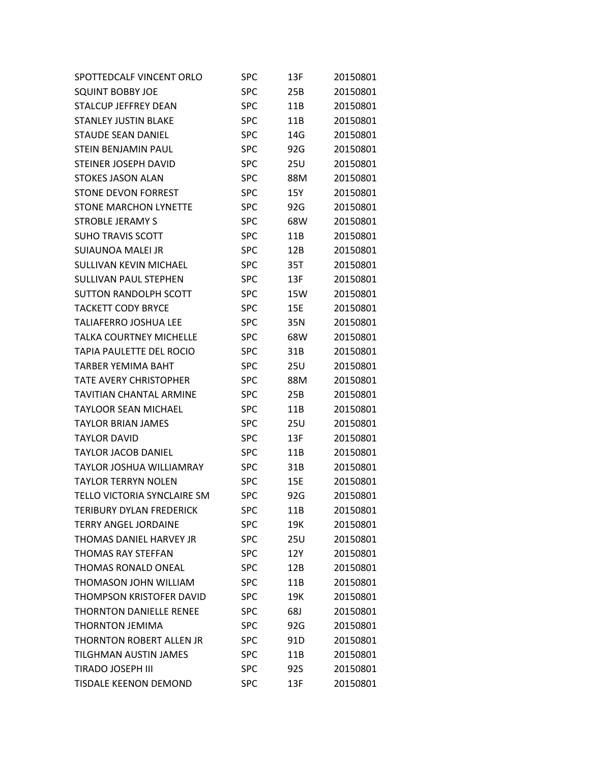| SPOTTEDCALF VINCENT ORLO           | SPC        | 13F        | 20150801 |
|------------------------------------|------------|------------|----------|
| <b>SQUINT BOBBY JOE</b>            | SPC        | 25B        | 20150801 |
| <b>STALCUP JEFFREY DEAN</b>        | <b>SPC</b> | 11B        | 20150801 |
| <b>STANLEY JUSTIN BLAKE</b>        | SPC        | 11B        | 20150801 |
| <b>STAUDE SEAN DANIEL</b>          | <b>SPC</b> | 14G        | 20150801 |
| <b>STEIN BENJAMIN PAUL</b>         | SPC        | 92G        | 20150801 |
| <b>STEINER JOSEPH DAVID</b>        | <b>SPC</b> | <b>25U</b> | 20150801 |
| <b>STOKES JASON ALAN</b>           | SPC        | 88M        | 20150801 |
| <b>STONE DEVON FORREST</b>         | <b>SPC</b> | 15Y        | 20150801 |
| <b>STONE MARCHON LYNETTE</b>       | <b>SPC</b> | 92G        | 20150801 |
| <b>STROBLE JERAMY S</b>            | <b>SPC</b> | 68W        | 20150801 |
| <b>SUHO TRAVIS SCOTT</b>           | SPC        | 11B        | 20150801 |
| SUIAUNOA MALEI JR                  | <b>SPC</b> | 12B        | 20150801 |
| <b>SULLIVAN KEVIN MICHAEL</b>      | <b>SPC</b> | 35T        | 20150801 |
| <b>SULLIVAN PAUL STEPHEN</b>       | <b>SPC</b> | 13F        | 20150801 |
| <b>SUTTON RANDOLPH SCOTT</b>       | SPC        | 15W        | 20150801 |
| <b>TACKETT CODY BRYCE</b>          | <b>SPC</b> | 15E        | 20150801 |
| <b>TALIAFERRO JOSHUA LEE</b>       | <b>SPC</b> | 35N        | 20150801 |
| <b>TALKA COURTNEY MICHELLE</b>     | <b>SPC</b> | 68W        | 20150801 |
| TAPIA PAULETTE DEL ROCIO           | SPC        | 31B        | 20150801 |
| <b>TARBER YEMIMA BAHT</b>          | <b>SPC</b> | 25U        | 20150801 |
| <b>TATE AVERY CHRISTOPHER</b>      | SPC        | 88M        | 20150801 |
| <b>TAVITIAN CHANTAL ARMINE</b>     | <b>SPC</b> | 25B        | 20150801 |
| <b>TAYLOOR SEAN MICHAEL</b>        | SPC        | 11B        | 20150801 |
| <b>TAYLOR BRIAN JAMES</b>          | <b>SPC</b> | 25U        | 20150801 |
| <b>TAYLOR DAVID</b>                | <b>SPC</b> | 13F        | 20150801 |
| <b>TAYLOR JACOB DANIEL</b>         | <b>SPC</b> | 11B        | 20150801 |
| <b>TAYLOR JOSHUA WILLIAMRAY</b>    | SPC        | 31B        | 20150801 |
| <b>TAYLOR TERRYN NOLEN</b>         | SPC        | 15E        | 20150801 |
| <b>TELLO VICTORIA SYNCLAIRE SM</b> | <b>SPC</b> | 92G        | 20150801 |
| <b>TERIBURY DYLAN FREDERICK</b>    | SPC        | 11B        | 20150801 |
| <b>TERRY ANGEL JORDAINE</b>        | <b>SPC</b> | 19K        | 20150801 |
| THOMAS DANIEL HARVEY JR            | <b>SPC</b> | 25U        | 20150801 |
| <b>THOMAS RAY STEFFAN</b>          | <b>SPC</b> | 12Y        | 20150801 |
| <b>THOMAS RONALD ONEAL</b>         | <b>SPC</b> | 12B        | 20150801 |
| <b>THOMASON JOHN WILLIAM</b>       | <b>SPC</b> | 11B        | 20150801 |
| THOMPSON KRISTOFER DAVID           | <b>SPC</b> | 19K        | 20150801 |
| <b>THORNTON DANIELLE RENEE</b>     | SPC        | 68J        | 20150801 |
| <b>THORNTON JEMIMA</b>             | <b>SPC</b> | 92G        | 20150801 |
| <b>THORNTON ROBERT ALLEN JR</b>    | <b>SPC</b> | 91D        | 20150801 |
| TILGHMAN AUSTIN JAMES              | <b>SPC</b> | 11B        | 20150801 |
| <b>TIRADO JOSEPH III</b>           | <b>SPC</b> | 92S        | 20150801 |
| <b>TISDALE KEENON DEMOND</b>       | <b>SPC</b> | 13F        | 20150801 |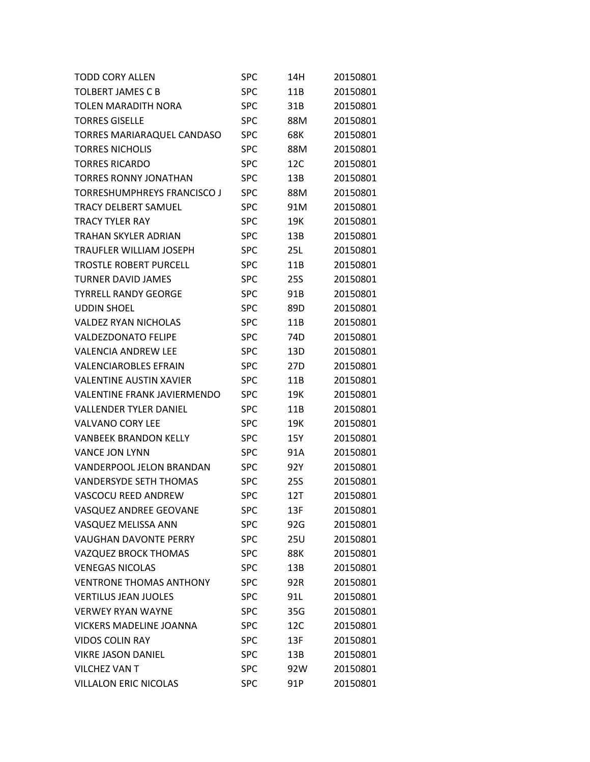| <b>TODD CORY ALLEN</b>             | SPC        | 14H             | 20150801 |
|------------------------------------|------------|-----------------|----------|
| <b>TOLBERT JAMES C B</b>           | SPC        | 11B             | 20150801 |
| <b>TOLEN MARADITH NORA</b>         | <b>SPC</b> | 31B             | 20150801 |
| <b>TORRES GISELLE</b>              | SPC        | 88M             | 20150801 |
| TORRES MARIARAQUEL CANDASO         | <b>SPC</b> | 68K             | 20150801 |
| <b>TORRES NICHOLIS</b>             | SPC        | 88M             | 20150801 |
| <b>TORRES RICARDO</b>              | SPC        | 12C             | 20150801 |
| <b>TORRES RONNY JONATHAN</b>       | SPC        | 13B             | 20150801 |
| <b>TORRESHUMPHREYS FRANCISCO J</b> | <b>SPC</b> | 88M             | 20150801 |
| <b>TRACY DELBERT SAMUEL</b>        | SPC        | 91M             | 20150801 |
| <b>TRACY TYLER RAY</b>             | SPC        | 19K             | 20150801 |
| TRAHAN SKYLER ADRIAN               | SPC        | 13B             | 20150801 |
| TRAUFLER WILLIAM JOSEPH            | <b>SPC</b> | 25L             | 20150801 |
| <b>TROSTLE ROBERT PURCELL</b>      | <b>SPC</b> | 11B             | 20150801 |
| <b>TURNER DAVID JAMES</b>          | <b>SPC</b> | <b>25S</b>      | 20150801 |
| <b>TYRRELL RANDY GEORGE</b>        | <b>SPC</b> | 91B             | 20150801 |
| <b>UDDIN SHOEL</b>                 | <b>SPC</b> | 89D             | 20150801 |
| <b>VALDEZ RYAN NICHOLAS</b>        | <b>SPC</b> | 11B             | 20150801 |
| <b>VALDEZDONATO FELIPE</b>         | <b>SPC</b> | 74 <sub>D</sub> | 20150801 |
| <b>VALENCIA ANDREW LEE</b>         | <b>SPC</b> | 13D             | 20150801 |
| <b>VALENCIAROBLES EFRAIN</b>       | <b>SPC</b> | 27D             | 20150801 |
| <b>VALENTINE AUSTIN XAVIER</b>     | SPC        | 11B             | 20150801 |
| <b>VALENTINE FRANK JAVIERMENDO</b> | <b>SPC</b> | 19K             | 20150801 |
| <b>VALLENDER TYLER DANIEL</b>      | <b>SPC</b> | 11B             | 20150801 |
| <b>VALVANO CORY LEE</b>            | <b>SPC</b> | 19K             | 20150801 |
| <b>VANBEEK BRANDON KELLY</b>       | SPC        | 15Y             | 20150801 |
| <b>VANCE JON LYNN</b>              | <b>SPC</b> | 91A             | 20150801 |
| <b>VANDERPOOL JELON BRANDAN</b>    | SPC        | 92Y             | 20150801 |
| <b>VANDERSYDE SETH THOMAS</b>      | <b>SPC</b> | 25S             | 20150801 |
| <b>VASCOCU REED ANDREW</b>         | <b>SPC</b> | 12T             | 20150801 |
| VASQUEZ ANDREE GEOVANE             | <b>SPC</b> | 13F             | 20150801 |
| VASQUEZ MELISSA ANN                | <b>SPC</b> | 92G             | 20150801 |
| <b>VAUGHAN DAVONTE PERRY</b>       | <b>SPC</b> | <b>25U</b>      | 20150801 |
| VAZQUEZ BROCK THOMAS               | <b>SPC</b> | 88K             | 20150801 |
| <b>VENEGAS NICOLAS</b>             | <b>SPC</b> | 13B             | 20150801 |
| <b>VENTRONE THOMAS ANTHONY</b>     | <b>SPC</b> | 92R             | 20150801 |
| <b>VERTILUS JEAN JUOLES</b>        | <b>SPC</b> | 91L             | 20150801 |
| <b>VERWEY RYAN WAYNE</b>           | <b>SPC</b> | 35G             | 20150801 |
| <b>VICKERS MADELINE JOANNA</b>     | <b>SPC</b> | 12C             | 20150801 |
| <b>VIDOS COLIN RAY</b>             | <b>SPC</b> | 13F             | 20150801 |
| <b>VIKRE JASON DANIEL</b>          | <b>SPC</b> | 13B             | 20150801 |
| <b>VILCHEZ VAN T</b>               | <b>SPC</b> | 92W             | 20150801 |
| <b>VILLALON ERIC NICOLAS</b>       | <b>SPC</b> | 91P             | 20150801 |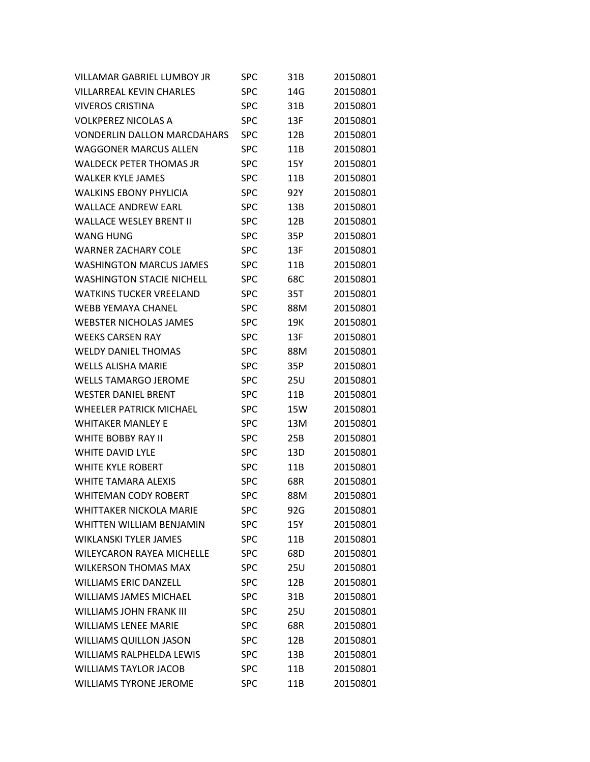| <b>VILLAMAR GABRIEL LUMBOY JR</b>  | SPC        | 31B | 20150801 |
|------------------------------------|------------|-----|----------|
| <b>VILLARREAL KEVIN CHARLES</b>    | <b>SPC</b> | 14G | 20150801 |
| <b>VIVEROS CRISTINA</b>            | <b>SPC</b> | 31B | 20150801 |
| <b>VOLKPEREZ NICOLAS A</b>         | SPC        | 13F | 20150801 |
| <b>VONDERLIN DALLON MARCDAHARS</b> | <b>SPC</b> | 12B | 20150801 |
| <b>WAGGONER MARCUS ALLEN</b>       | SPC        | 11B | 20150801 |
| <b>WALDECK PETER THOMAS JR</b>     | SPC        | 15Y | 20150801 |
| <b>WALKER KYLE JAMES</b>           | SPC        | 11B | 20150801 |
| <b>WALKINS EBONY PHYLICIA</b>      | <b>SPC</b> | 92Y | 20150801 |
| <b>WALLACE ANDREW EARL</b>         | <b>SPC</b> | 13B | 20150801 |
| <b>WALLACE WESLEY BRENT II</b>     | <b>SPC</b> | 12B | 20150801 |
| <b>WANG HUNG</b>                   | SPC        | 35P | 20150801 |
| <b>WARNER ZACHARY COLE</b>         | <b>SPC</b> | 13F | 20150801 |
| <b>WASHINGTON MARCUS JAMES</b>     | <b>SPC</b> | 11B | 20150801 |
| <b>WASHINGTON STACIE NICHELL</b>   | SPC        | 68C | 20150801 |
| <b>WATKINS TUCKER VREELAND</b>     | SPC        | 35T | 20150801 |
| <b>WEBB YEMAYA CHANEL</b>          | <b>SPC</b> | 88M | 20150801 |
| <b>WEBSTER NICHOLAS JAMES</b>      | <b>SPC</b> | 19K | 20150801 |
| <b>WEEKS CARSEN RAY</b>            | <b>SPC</b> | 13F | 20150801 |
| <b>WELDY DANIEL THOMAS</b>         | SPC        | 88M | 20150801 |
| <b>WELLS ALISHA MARIE</b>          | SPC        | 35P | 20150801 |
| <b>WELLS TAMARGO JEROME</b>        | <b>SPC</b> | 25U | 20150801 |
| <b>WESTER DANIEL BRENT</b>         | <b>SPC</b> | 11B | 20150801 |
| <b>WHEELER PATRICK MICHAEL</b>     | SPC        | 15W | 20150801 |
| <b>WHITAKER MANLEY E</b>           | SPC        | 13M | 20150801 |
| <b>WHITE BOBBY RAY II</b>          | <b>SPC</b> | 25B | 20150801 |
| <b>WHITE DAVID LYLF</b>            | <b>SPC</b> | 13D | 20150801 |
| <b>WHITE KYLE ROBERT</b>           | SPC        | 11B | 20150801 |
| <b>WHITE TAMARA ALFXIS</b>         | <b>SPC</b> | 68R | 20150801 |
| <b>WHITEMAN CODY ROBERT</b>        | <b>SPC</b> | 88M | 20150801 |
| <b>WHITTAKER NICKOLA MARIE</b>     | SPC        | 92G | 20150801 |
| WHITTEN WILLIAM BENJAMIN           | <b>SPC</b> | 15Y | 20150801 |
| <b>WIKLANSKI TYLER JAMES</b>       | <b>SPC</b> | 11B | 20150801 |
| <b>WILEYCARON RAYEA MICHELLE</b>   | SPC        | 68D | 20150801 |
| <b>WILKERSON THOMAS MAX</b>        | SPC        | 25U | 20150801 |
| <b>WILLIAMS ERIC DANZELL</b>       | <b>SPC</b> | 12B | 20150801 |
| <b>WILLIAMS JAMES MICHAEL</b>      | <b>SPC</b> | 31B | 20150801 |
| <b>WILLIAMS JOHN FRANK III</b>     | <b>SPC</b> | 25U | 20150801 |
| <b>WILLIAMS LENEE MARIE</b>        | SPC        | 68R | 20150801 |
| <b>WILLIAMS QUILLON JASON</b>      | <b>SPC</b> | 12B | 20150801 |
| <b>WILLIAMS RALPHELDA LEWIS</b>    | <b>SPC</b> | 13B | 20150801 |
| <b>WILLIAMS TAYLOR JACOB</b>       | <b>SPC</b> | 11B | 20150801 |
| <b>WILLIAMS TYRONE JEROME</b>      | SPC        | 11B | 20150801 |